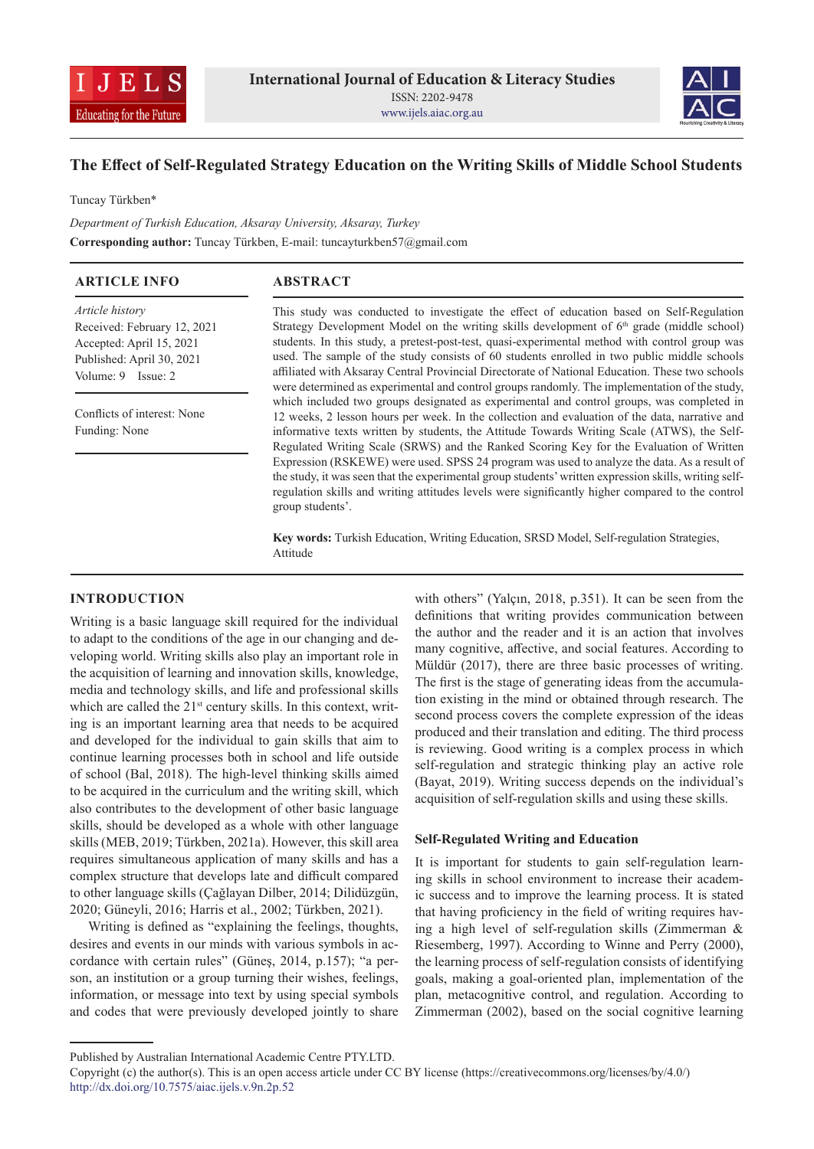



# **The Effect of Self-Regulated Strategy Education on the Writing Skills of Middle School Students**

Tuncay Türkben\*

*Department of Turkish Education, Aksaray University, Aksaray, Turkey* **Corresponding author:** Tuncay Türkben, E-mail: tuncayturkben57@gmail.com

| <b>ARTICLE INFO</b>                                                        | <b>ABSTRACT</b>                                                                                                                                                                                                                                                                                                                                                                       |
|----------------------------------------------------------------------------|---------------------------------------------------------------------------------------------------------------------------------------------------------------------------------------------------------------------------------------------------------------------------------------------------------------------------------------------------------------------------------------|
| Article history<br>Received: February 12, 2021<br>Accepted: April 15, 2021 | This study was conducted to investigate the effect of education based on Self-Regulation<br>Strategy Development Model on the writing skills development of $6th$ grade (middle school)<br>students. In this study, a pretest-post-test, quasi-experimental method with control group was                                                                                             |
| Published: April 30, 2021<br>Volume: 9 Issue: 2                            | used. The sample of the study consists of 60 students enrolled in two public middle schools<br>affiliated with Aksaray Central Provincial Directorate of National Education. These two schools<br>were determined as experimental and control groups randomly. The implementation of the study,                                                                                       |
| Conflicts of interest: None<br>Funding: None                               | which included two groups designated as experimental and control groups, was completed in<br>12 weeks, 2 lesson hours per week. In the collection and evaluation of the data, narrative and<br>informative texts written by students, the Attitude Towards Writing Scale (ATWS), the Self-<br>Regulated Writing Scale (SRWS) and the Ranked Scoring Key for the Evaluation of Written |
|                                                                            | Expression (RSKEWE) were used. SPSS 24 program was used to analyze the data. As a result of<br>the study, it was seen that the experimental group students' written expression skills, writing self-<br>regulation skills and writing attitudes levels were significantly higher compared to the control<br>group students'.                                                          |
|                                                                            | <b>Key words:</b> Turkish Education, Writing Education, SRSD Model, Self-regulation Strategies.                                                                                                                                                                                                                                                                                       |

**Key words:** Turkish Education, Writing Education, SRSD Model, Self-regulation Strategies, Attitude

## **INTRODUCTION**

Writing is a basic language skill required for the individual to adapt to the conditions of the age in our changing and developing world. Writing skills also play an important role in the acquisition of learning and innovation skills, knowledge, media and technology skills, and life and professional skills which are called the 21<sup>st</sup> century skills. In this context, writing is an important learning area that needs to be acquired and developed for the individual to gain skills that aim to continue learning processes both in school and life outside of school (Bal, 2018). The high-level thinking skills aimed to be acquired in the curriculum and the writing skill, which also contributes to the development of other basic language skills, should be developed as a whole with other language skills (MEB, 2019; Türkben, 2021a). However, this skill area requires simultaneous application of many skills and has a complex structure that develops late and difficult compared to other language skills (Çağlayan Dilber, 2014; Dilidüzgün, 2020; Güneyli, 2016; Harris et al., 2002; Türkben, 2021).

Writing is defined as "explaining the feelings, thoughts, desires and events in our minds with various symbols in accordance with certain rules" (Güneş, 2014, p.157); "a person, an institution or a group turning their wishes, feelings, information, or message into text by using special symbols and codes that were previously developed jointly to share

with others" (Yalçın, 2018, p.351). It can be seen from the definitions that writing provides communication between the author and the reader and it is an action that involves many cognitive, affective, and social features. According to Müldür (2017), there are three basic processes of writing. The first is the stage of generating ideas from the accumulation existing in the mind or obtained through research. The second process covers the complete expression of the ideas produced and their translation and editing. The third process is reviewing. Good writing is a complex process in which self-regulation and strategic thinking play an active role (Bayat, 2019). Writing success depends on the individual's acquisition of self-regulation skills and using these skills.

### **Self-Regulated Writing and Education**

It is important for students to gain self-regulation learning skills in school environment to increase their academic success and to improve the learning process. It is stated that having proficiency in the field of writing requires having a high level of self-regulation skills (Zimmerman & Riesemberg, 1997). According to Winne and Perry (2000), the learning process of self-regulation consists of identifying goals, making a goal-oriented plan, implementation of the plan, metacognitive control, and regulation. According to Zimmerman (2002), based on the social cognitive learning

Published by Australian International Academic Centre PTY.LTD.

Copyright (c) the author(s). This is an open access article under CC BY license (https://creativecommons.org/licenses/by/4.0/) http://dx.doi.org/10.7575/aiac.ijels.v.9n.2p.52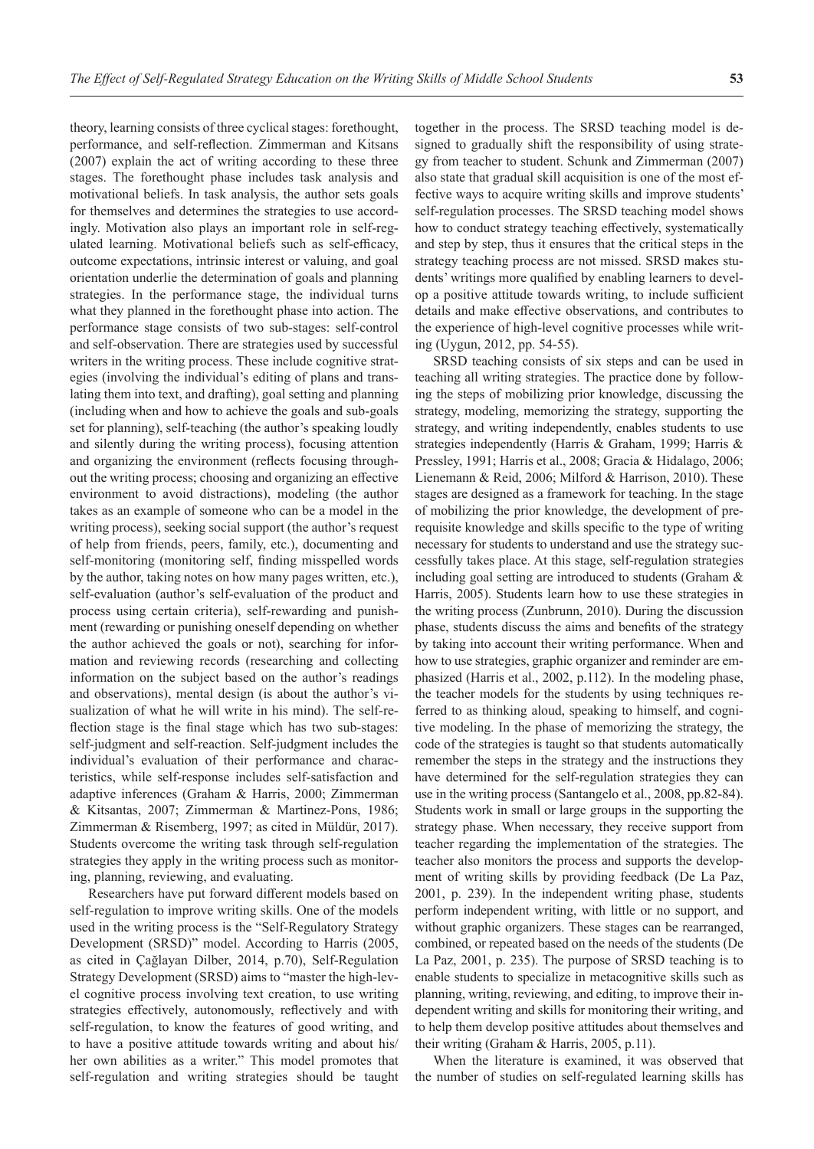theory, learning consists of three cyclical stages: forethought, performance, and self-reflection. Zimmerman and Kitsans (2007) explain the act of writing according to these three stages. The forethought phase includes task analysis and motivational beliefs. In task analysis, the author sets goals for themselves and determines the strategies to use accordingly. Motivation also plays an important role in self-regulated learning. Motivational beliefs such as self-efficacy, outcome expectations, intrinsic interest or valuing, and goal orientation underlie the determination of goals and planning strategies. In the performance stage, the individual turns what they planned in the forethought phase into action. The performance stage consists of two sub-stages: self-control and self-observation. There are strategies used by successful writers in the writing process. These include cognitive strategies (involving the individual's editing of plans and translating them into text, and drafting), goal setting and planning (including when and how to achieve the goals and sub-goals set for planning), self-teaching (the author's speaking loudly and silently during the writing process), focusing attention and organizing the environment (reflects focusing throughout the writing process; choosing and organizing an effective environment to avoid distractions), modeling (the author takes as an example of someone who can be a model in the writing process), seeking social support (the author's request of help from friends, peers, family, etc.), documenting and self-monitoring (monitoring self, finding misspelled words by the author, taking notes on how many pages written, etc.), self-evaluation (author's self-evaluation of the product and process using certain criteria), self-rewarding and punishment (rewarding or punishing oneself depending on whether the author achieved the goals or not), searching for information and reviewing records (researching and collecting information on the subject based on the author's readings and observations), mental design (is about the author's visualization of what he will write in his mind). The self-reflection stage is the final stage which has two sub-stages: self-judgment and self-reaction. Self-judgment includes the individual's evaluation of their performance and characteristics, while self-response includes self-satisfaction and adaptive inferences (Graham & Harris, 2000; Zimmerman & Kitsantas, 2007; Zimmerman & Martinez-Pons, 1986; Zimmerman & Risemberg, 1997; as cited in Müldür, 2017). Students overcome the writing task through self-regulation strategies they apply in the writing process such as monitoring, planning, reviewing, and evaluating.

Researchers have put forward different models based on self-regulation to improve writing skills. One of the models used in the writing process is the "Self-Regulatory Strategy Development (SRSD)" model. According to Harris (2005, as cited in Çağlayan Dilber, 2014, p.70), Self-Regulation Strategy Development (SRSD) aims to "master the high-level cognitive process involving text creation, to use writing strategies effectively, autonomously, reflectively and with self-regulation, to know the features of good writing, and to have a positive attitude towards writing and about his/ her own abilities as a writer." This model promotes that self-regulation and writing strategies should be taught together in the process. The SRSD teaching model is designed to gradually shift the responsibility of using strategy from teacher to student. Schunk and Zimmerman (2007) also state that gradual skill acquisition is one of the most effective ways to acquire writing skills and improve students' self-regulation processes. The SRSD teaching model shows how to conduct strategy teaching effectively, systematically and step by step, thus it ensures that the critical steps in the strategy teaching process are not missed. SRSD makes students' writings more qualified by enabling learners to develop a positive attitude towards writing, to include sufficient details and make effective observations, and contributes to the experience of high-level cognitive processes while writing (Uygun, 2012, pp. 54-55).

SRSD teaching consists of six steps and can be used in teaching all writing strategies. The practice done by following the steps of mobilizing prior knowledge, discussing the strategy, modeling, memorizing the strategy, supporting the strategy, and writing independently, enables students to use strategies independently (Harris & Graham, 1999; Harris & Pressley, 1991; Harris et al., 2008; Gracia & Hidalago, 2006; Lienemann & Reid, 2006; Milford & Harrison, 2010). These stages are designed as a framework for teaching. In the stage of mobilizing the prior knowledge, the development of prerequisite knowledge and skills specific to the type of writing necessary for students to understand and use the strategy successfully takes place. At this stage, self-regulation strategies including goal setting are introduced to students (Graham & Harris, 2005). Students learn how to use these strategies in the writing process (Zunbrunn, 2010). During the discussion phase, students discuss the aims and benefits of the strategy by taking into account their writing performance. When and how to use strategies, graphic organizer and reminder are emphasized (Harris et al., 2002, p.112). In the modeling phase, the teacher models for the students by using techniques referred to as thinking aloud, speaking to himself, and cognitive modeling. In the phase of memorizing the strategy, the code of the strategies is taught so that students automatically remember the steps in the strategy and the instructions they have determined for the self-regulation strategies they can use in the writing process (Santangelo et al., 2008, pp.82-84). Students work in small or large groups in the supporting the strategy phase. When necessary, they receive support from teacher regarding the implementation of the strategies. The teacher also monitors the process and supports the development of writing skills by providing feedback (De La Paz, 2001, p. 239). In the independent writing phase, students perform independent writing, with little or no support, and without graphic organizers. These stages can be rearranged, combined, or repeated based on the needs of the students (De La Paz, 2001, p. 235). The purpose of SRSD teaching is to enable students to specialize in metacognitive skills such as planning, writing, reviewing, and editing, to improve their independent writing and skills for monitoring their writing, and to help them develop positive attitudes about themselves and their writing (Graham & Harris, 2005, p.11).

When the literature is examined, it was observed that the number of studies on self-regulated learning skills has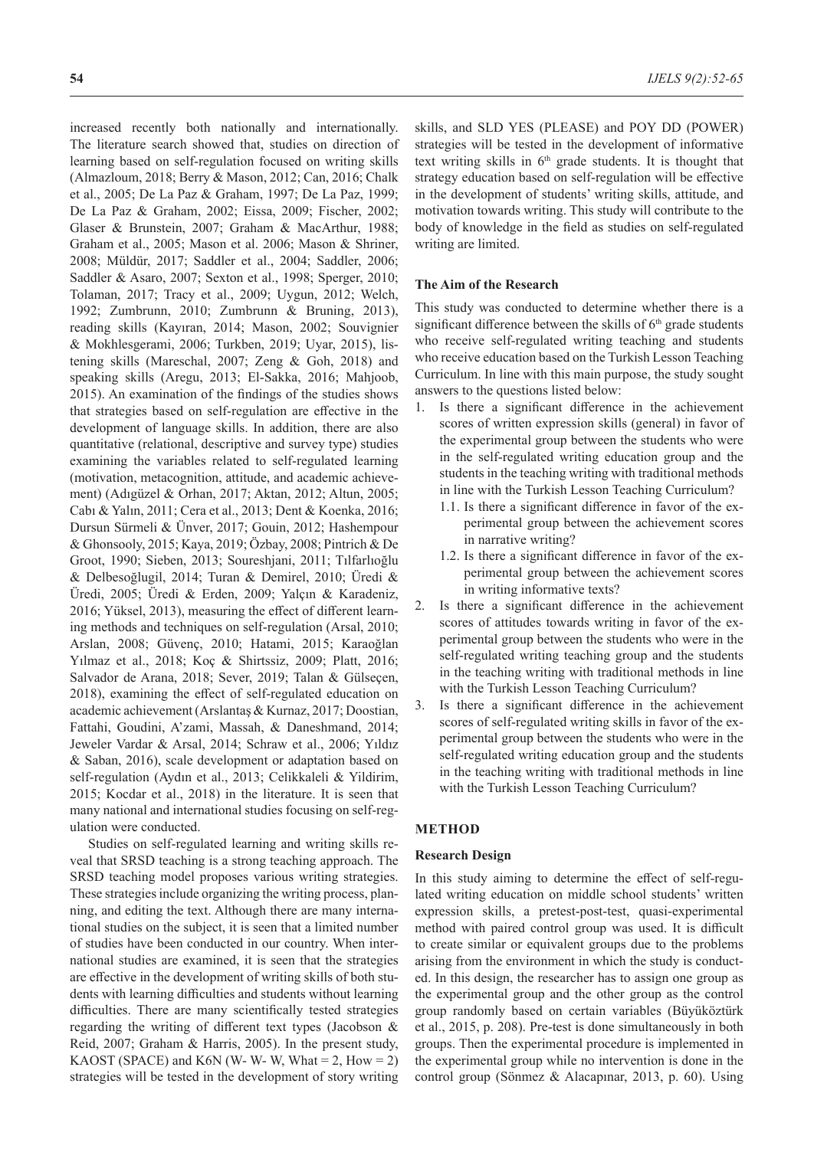increased recently both nationally and internationally. The literature search showed that, studies on direction of learning based on self-regulation focused on writing skills (Almazloum, 2018; Berry & Mason, 2012; Can, 2016; Chalk et al., 2005; De La Paz & Graham, 1997; De La Paz, 1999; De La Paz & Graham, 2002; Eissa, 2009; Fischer, 2002; Glaser & Brunstein, 2007; Graham & MacArthur, 1988; Graham et al., 2005; Mason et al. 2006; Mason & Shriner, 2008; Müldür, 2017; Saddler et al., 2004; Saddler, 2006; Saddler & Asaro, 2007; Sexton et al., 1998; Sperger, 2010; Tolaman, 2017; Tracy et al., 2009; Uygun, 2012; Welch, 1992; Zumbrunn, 2010; Zumbrunn & Bruning, 2013), reading skills (Kayıran, 2014; Mason, 2002; Souvignier & Mokhlesgerami, 2006; Turkben, 2019; Uyar, 2015), listening skills (Mareschal, 2007; Zeng & Goh, 2018) and speaking skills (Aregu, 2013; El-Sakka, 2016; Mahjoob, 2015). An examination of the findings of the studies shows that strategies based on self-regulation are effective in the development of language skills. In addition, there are also quantitative (relational, descriptive and survey type) studies examining the variables related to self-regulated learning (motivation, metacognition, attitude, and academic achievement) (Adıgüzel & Orhan, 2017; Aktan, 2012; Altun, 2005; Cabı & Yalın, 2011; Cera et al., 2013; Dent & Koenka, 2016; Dursun Sürmeli & Ünver, 2017; Gouin, 2012; Hashempour & Ghonsooly, 2015; Kaya, 2019; Özbay, 2008; Pintrich & De Groot, 1990; Sieben, 2013; Soureshjani, 2011; Tılfarlıoğlu & Delbesoğlugil, 2014; Turan & Demirel, 2010; Üredi & Üredi, 2005; Üredi & Erden, 2009; Yalçın & Karadeniz, 2016; Yüksel, 2013), measuring the effect of different learning methods and techniques on self-regulation (Arsal, 2010; Arslan, 2008; Güvenç, 2010; Hatami, 2015; Karaoğlan Yılmaz et al., 2018; Koç & Shirtssiz, 2009; Platt, 2016; Salvador de Arana, 2018; Sever, 2019; Talan & Gülseçen, 2018), examining the effect of self-regulated education on academic achievement (Arslantaş & Kurnaz, 2017; Doostian, Fattahi, Goudini, A'zami, Massah, & Daneshmand, 2014; Jeweler Vardar & Arsal, 2014; Schraw et al., 2006; Yıldız & Saban, 2016), scale development or adaptation based on self-regulation (Aydın et al., 2013; Celikkaleli & Yildirim, 2015; Kocdar et al., 2018) in the literature. It is seen that many national and international studies focusing on self-regulation were conducted.

Studies on self-regulated learning and writing skills reveal that SRSD teaching is a strong teaching approach. The SRSD teaching model proposes various writing strategies. These strategies include organizing the writing process, planning, and editing the text. Although there are many international studies on the subject, it is seen that a limited number of studies have been conducted in our country. When international studies are examined, it is seen that the strategies are effective in the development of writing skills of both students with learning difficulties and students without learning difficulties. There are many scientifically tested strategies regarding the writing of different text types (Jacobson & Reid, 2007; Graham & Harris, 2005). In the present study, KAOST (SPACE) and K6N (W- W- W, What  $= 2$ , How  $= 2$ ) strategies will be tested in the development of story writing skills, and SLD YES (PLEASE) and POY DD (POWER) strategies will be tested in the development of informative text writing skills in 6<sup>th</sup> grade students. It is thought that strategy education based on self-regulation will be effective in the development of students' writing skills, attitude, and motivation towards writing. This study will contribute to the body of knowledge in the field as studies on self-regulated writing are limited.

## **The Aim of the Research**

This study was conducted to determine whether there is a significant difference between the skills of  $6<sup>th</sup>$  grade students who receive self-regulated writing teaching and students who receive education based on the Turkish Lesson Teaching Curriculum. In line with this main purpose, the study sought answers to the questions listed below:

- 1. Is there a significant difference in the achievement scores of written expression skills (general) in favor of the experimental group between the students who were in the self-regulated writing education group and the students in the teaching writing with traditional methods in line with the Turkish Lesson Teaching Curriculum?
	- 1.1. Is there a significant difference in favor of the experimental group between the achievement scores in narrative writing?
	- 1.2. Is there a significant difference in favor of the experimental group between the achievement scores in writing informative texts?
- 2. Is there a significant difference in the achievement scores of attitudes towards writing in favor of the experimental group between the students who were in the self-regulated writing teaching group and the students in the teaching writing with traditional methods in line with the Turkish Lesson Teaching Curriculum?
- 3. Is there a significant difference in the achievement scores of self-regulated writing skills in favor of the experimental group between the students who were in the self-regulated writing education group and the students in the teaching writing with traditional methods in line with the Turkish Lesson Teaching Curriculum?

## **METHOD**

### **Research Design**

In this study aiming to determine the effect of self-regulated writing education on middle school students' written expression skills, a pretest-post-test, quasi-experimental method with paired control group was used. It is difficult to create similar or equivalent groups due to the problems arising from the environment in which the study is conducted. In this design, the researcher has to assign one group as the experimental group and the other group as the control group randomly based on certain variables (Büyüköztürk et al., 2015, p. 208). Pre-test is done simultaneously in both groups. Then the experimental procedure is implemented in the experimental group while no intervention is done in the control group (Sönmez & Alacapınar, 2013, p. 60). Using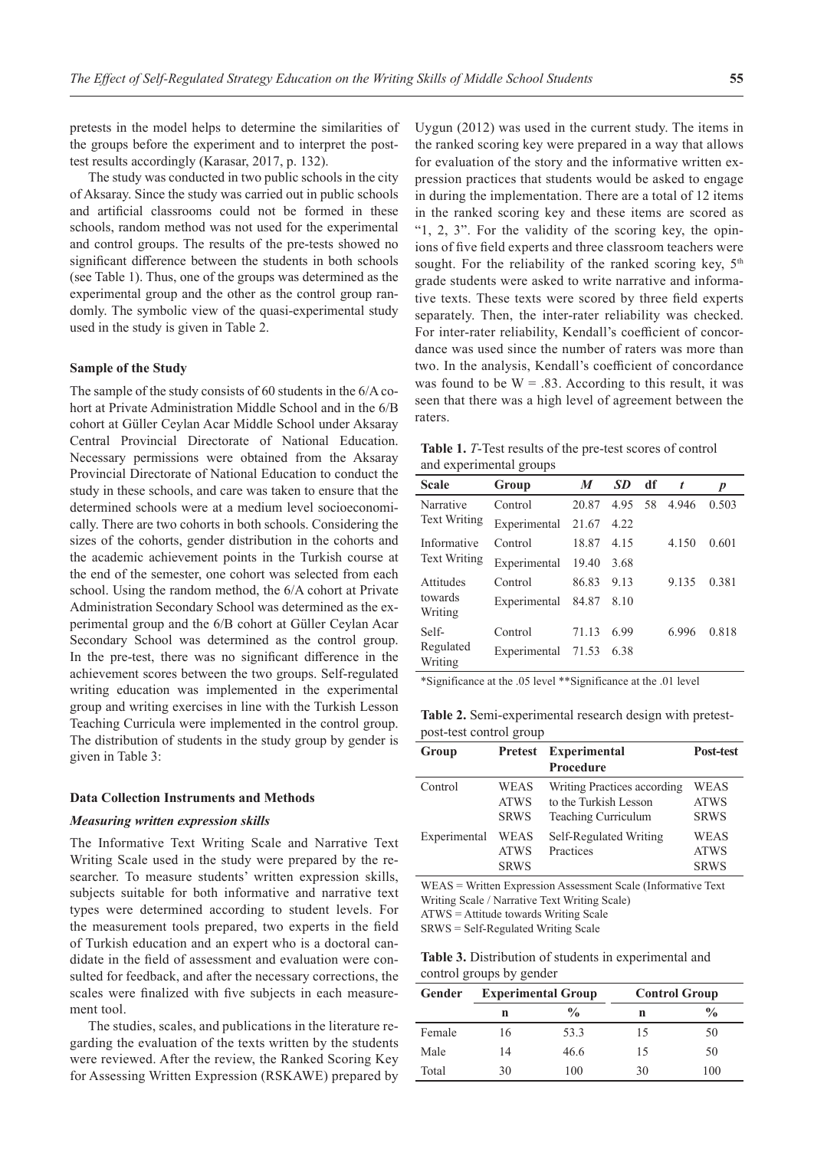pretests in the model helps to determine the similarities of the groups before the experiment and to interpret the posttest results accordingly (Karasar, 2017, p. 132).

The study was conducted in two public schools in the city of Aksaray. Since the study was carried out in public schools and artificial classrooms could not be formed in these schools, random method was not used for the experimental and control groups. The results of the pre-tests showed no significant difference between the students in both schools (see Table 1). Thus, one of the groups was determined as the experimental group and the other as the control group randomly. The symbolic view of the quasi-experimental study used in the study is given in Table 2.

#### **Sample of the Study**

The sample of the study consists of 60 students in the 6/A cohort at Private Administration Middle School and in the 6/B cohort at Güller Ceylan Acar Middle School under Aksaray Central Provincial Directorate of National Education. Necessary permissions were obtained from the Aksaray Provincial Directorate of National Education to conduct the study in these schools, and care was taken to ensure that the determined schools were at a medium level socioeconomically. There are two cohorts in both schools. Considering the sizes of the cohorts, gender distribution in the cohorts and the academic achievement points in the Turkish course at the end of the semester, one cohort was selected from each school. Using the random method, the 6/A cohort at Private Administration Secondary School was determined as the experimental group and the 6/B cohort at Güller Ceylan Acar Secondary School was determined as the control group. In the pre-test, there was no significant difference in the achievement scores between the two groups. Self-regulated writing education was implemented in the experimental group and writing exercises in line with the Turkish Lesson Teaching Curricula were implemented in the control group. The distribution of students in the study group by gender is given in Table 3:

### **Data Collection Instruments and Methods**

#### *Measuring written expression skills*

The Informative Text Writing Scale and Narrative Text Writing Scale used in the study were prepared by the researcher. To measure students' written expression skills, subjects suitable for both informative and narrative text types were determined according to student levels. For the measurement tools prepared, two experts in the field of Turkish education and an expert who is a doctoral candidate in the field of assessment and evaluation were consulted for feedback, and after the necessary corrections, the scales were finalized with five subjects in each measurement tool.

The studies, scales, and publications in the literature regarding the evaluation of the texts written by the students were reviewed. After the review, the Ranked Scoring Key for Assessing Written Expression (RSKAWE) prepared by Uygun (2012) was used in the current study. The items in the ranked scoring key were prepared in a way that allows for evaluation of the story and the informative written expression practices that students would be asked to engage in during the implementation. There are a total of 12 items in the ranked scoring key and these items are scored as "1, 2, 3". For the validity of the scoring key, the opinions of five field experts and three classroom teachers were sought. For the reliability of the ranked scoring key,  $5<sup>th</sup>$ grade students were asked to write narrative and informative texts. These texts were scored by three field experts separately. Then, the inter-rater reliability was checked. For inter-rater reliability, Kendall's coefficient of concordance was used since the number of raters was more than two. In the analysis, Kendall's coefficient of concordance was found to be  $W = .83$ . According to this result, it was seen that there was a high level of agreement between the raters.

**Table 1.** *T*-Test results of the pre-test scores of control and experimental groups

| <b>Scale</b>         | Group        | M     | SD.  | df | $\boldsymbol{t}$ | D     |
|----------------------|--------------|-------|------|----|------------------|-------|
| Narrative            | Control      | 20.87 | 4.95 | 58 | 4.946            | 0.503 |
| <b>Text Writing</b>  | Experimental | 21.67 | 4.22 |    |                  |       |
| Informative          | Control      | 18.87 | 4.15 |    | 4.150            | 0.601 |
| <b>Text Writing</b>  | Experimental | 19.40 | 3.68 |    |                  |       |
| Attitudes            | Control      | 86.83 | 9.13 |    | 9.135            | 0.381 |
| towards<br>Writing   | Experimental | 84.87 | 8.10 |    |                  |       |
| Self-                | Control      | 71.13 | 6.99 |    | 6.996            | 0.818 |
| Regulated<br>Writing | Experimental | 71.53 | 6.38 |    |                  |       |

\*Significance at the .05 level \*\*Significance at the .01 level

**Table 2.** Semi-experimental research design with pretestpost-test control group

| Group        |             | Pretest Experimental<br>Post-test |             |  |
|--------------|-------------|-----------------------------------|-------------|--|
|              |             | <b>Procedure</b>                  |             |  |
| Control      | WEAS        | Writing Practices according       | WEAS        |  |
|              | <b>ATWS</b> | to the Turkish Lesson             | <b>ATWS</b> |  |
|              | <b>SRWS</b> | Teaching Curriculum               | <b>SRWS</b> |  |
| Experimental | WEAS        | Self-Regulated Writing            | WEAS        |  |
|              | <b>ATWS</b> | Practices                         | <b>ATWS</b> |  |
|              | <b>SRWS</b> |                                   | <b>SRWS</b> |  |

WEAS = Written Expression Assessment Scale (Informative Text Writing Scale / Narrative Text Writing Scale) ATWS = Attitude towards Writing Scale

SRWS = Self-Regulated Writing Scale

**Table 3.** Distribution of students in experimental and control groups by gender

| Gender | <b>Experimental Group</b> |               |    | <b>Control Group</b> |
|--------|---------------------------|---------------|----|----------------------|
|        | n                         | $\frac{0}{0}$ | n  | $\frac{0}{0}$        |
| Female | 16                        | 53.3          | 15 | 50                   |
| Male   | 14                        | 46.6          | 15 | 50                   |
| Total  | 30                        | 100           | 30 | 100                  |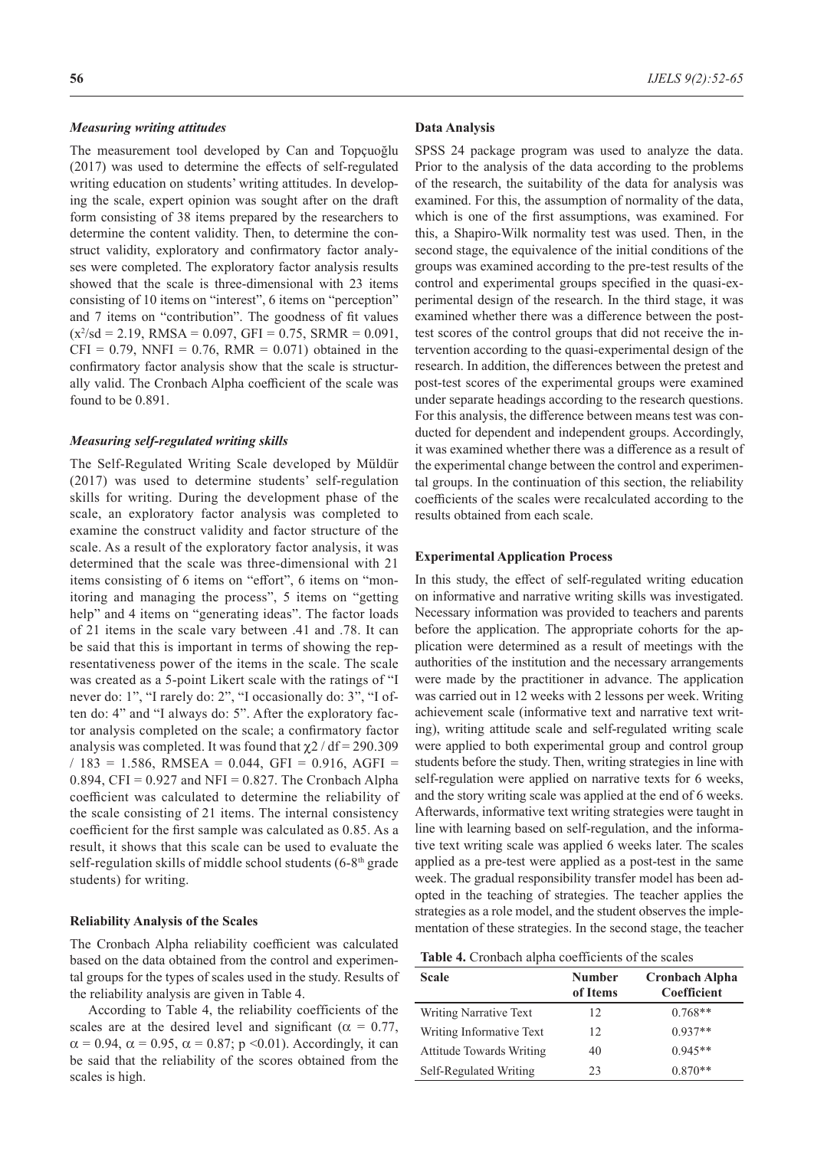#### *Measuring writing attitudes*

The measurement tool developed by Can and Topçuoğlu (2017) was used to determine the effects of self-regulated writing education on students' writing attitudes. In developing the scale, expert opinion was sought after on the draft form consisting of 38 items prepared by the researchers to determine the content validity. Then, to determine the construct validity, exploratory and confirmatory factor analyses were completed. The exploratory factor analysis results showed that the scale is three-dimensional with 23 items consisting of 10 items on "interest", 6 items on "perception" and 7 items on "contribution". The goodness of fit values  $(x^2\text{/sd} = 2.19, \text{ RMSA} = 0.097, \text{ GFI} = 0.75, \text{ SRMR} = 0.091,$  $CFI = 0.79$ , NNFI = 0.76, RMR = 0.071) obtained in the confirmatory factor analysis show that the scale is structurally valid. The Cronbach Alpha coefficient of the scale was found to be 0.891.

#### *Measuring self-regulated writing skills*

The Self-Regulated Writing Scale developed by Müldür (2017) was used to determine students' self-regulation skills for writing. During the development phase of the scale, an exploratory factor analysis was completed to examine the construct validity and factor structure of the scale. As a result of the exploratory factor analysis, it was determined that the scale was three-dimensional with 21 items consisting of 6 items on "effort", 6 items on "monitoring and managing the process", 5 items on "getting help" and 4 items on "generating ideas". The factor loads of 21 items in the scale vary between .41 and .78. It can be said that this is important in terms of showing the representativeness power of the items in the scale. The scale was created as a 5-point Likert scale with the ratings of "I never do: 1", "I rarely do: 2", "I occasionally do: 3", "I often do: 4" and "I always do: 5". After the exploratory factor analysis completed on the scale; a confirmatory factor analysis was completed. It was found that  $\chi$ 2 / df = 290.309  $/ 183 = 1.586$ , RMSEA = 0.044, GFI = 0.916, AGFI = 0.894, CFI =  $0.927$  and NFI = 0.827. The Cronbach Alpha coefficient was calculated to determine the reliability of the scale consisting of 21 items. The internal consistency coefficient for the first sample was calculated as 0.85. As a result, it shows that this scale can be used to evaluate the self-regulation skills of middle school students  $(6-8<sup>th</sup> grade)$ students) for writing.

### **Reliability Analysis of the Scales**

The Cronbach Alpha reliability coefficient was calculated based on the data obtained from the control and experimental groups for the types of scales used in the study. Results of the reliability analysis are given in Table 4.

According to Table 4, the reliability coefficients of the scales are at the desired level and significant ( $\alpha = 0.77$ ,  $\alpha = 0.94$ ,  $\alpha = 0.95$ ,  $\alpha = 0.87$ ; p < 0.01). Accordingly, it can be said that the reliability of the scores obtained from the scales is high.

#### **Data Analysis**

SPSS 24 package program was used to analyze the data. Prior to the analysis of the data according to the problems of the research, the suitability of the data for analysis was examined. For this, the assumption of normality of the data, which is one of the first assumptions, was examined. For this, a Shapiro-Wilk normality test was used. Then, in the second stage, the equivalence of the initial conditions of the groups was examined according to the pre-test results of the control and experimental groups specified in the quasi-experimental design of the research. In the third stage, it was examined whether there was a difference between the posttest scores of the control groups that did not receive the intervention according to the quasi-experimental design of the research. In addition, the differences between the pretest and post-test scores of the experimental groups were examined under separate headings according to the research questions. For this analysis, the difference between means test was conducted for dependent and independent groups. Accordingly, it was examined whether there was a difference as a result of the experimental change between the control and experimental groups. In the continuation of this section, the reliability coefficients of the scales were recalculated according to the results obtained from each scale.

## **Experimental Application Process**

In this study, the effect of self-regulated writing education on informative and narrative writing skills was investigated. Necessary information was provided to teachers and parents before the application. The appropriate cohorts for the application were determined as a result of meetings with the authorities of the institution and the necessary arrangements were made by the practitioner in advance. The application was carried out in 12 weeks with 2 lessons per week. Writing achievement scale (informative text and narrative text writing), writing attitude scale and self-regulated writing scale were applied to both experimental group and control group students before the study. Then, writing strategies in line with self-regulation were applied on narrative texts for 6 weeks, and the story writing scale was applied at the end of 6 weeks. Afterwards, informative text writing strategies were taught in line with learning based on self-regulation, and the informative text writing scale was applied 6 weeks later. The scales applied as a pre-test were applied as a post-test in the same week. The gradual responsibility transfer model has been adopted in the teaching of strategies. The teacher applies the strategies as a role model, and the student observes the implementation of these strategies. In the second stage, the teacher

| <b>Table 4.</b> Cronbach alpha coefficients of the scales |  |
|-----------------------------------------------------------|--|
|-----------------------------------------------------------|--|

| <b>Scale</b>                    | <b>Number</b><br>of Items | <b>Cronbach Alpha</b><br>Coefficient |
|---------------------------------|---------------------------|--------------------------------------|
| Writing Narrative Text          | 12                        | $0.768**$                            |
| Writing Informative Text        | 12                        | $0.937**$                            |
| <b>Attitude Towards Writing</b> | 40                        | $0.945**$                            |
| Self-Regulated Writing          | 23                        | $0.870**$                            |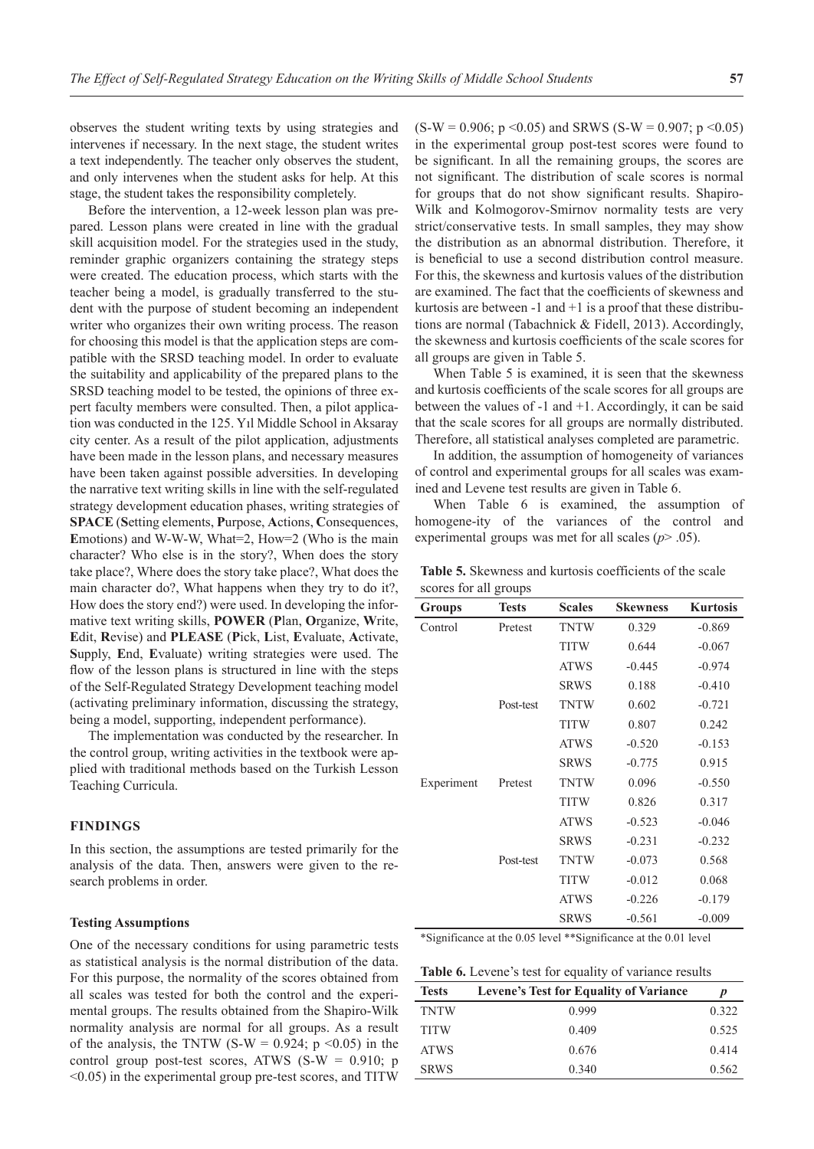observes the student writing texts by using strategies and intervenes if necessary. In the next stage, the student writes a text independently. The teacher only observes the student, and only intervenes when the student asks for help. At this stage, the student takes the responsibility completely.

Before the intervention, a 12-week lesson plan was prepared. Lesson plans were created in line with the gradual skill acquisition model. For the strategies used in the study, reminder graphic organizers containing the strategy steps were created. The education process, which starts with the teacher being a model, is gradually transferred to the student with the purpose of student becoming an independent writer who organizes their own writing process. The reason for choosing this model is that the application steps are compatible with the SRSD teaching model. In order to evaluate the suitability and applicability of the prepared plans to the SRSD teaching model to be tested, the opinions of three expert faculty members were consulted. Then, a pilot application was conducted in the 125. Yıl Middle School in Aksaray city center. As a result of the pilot application, adjustments have been made in the lesson plans, and necessary measures have been taken against possible adversities. In developing the narrative text writing skills in line with the self-regulated strategy development education phases, writing strategies of **SPACE** (**S**etting elements, **P**urpose, **A**ctions, **C**onsequences, **E**motions) and W-W-W, What=2, How=2 (Who is the main character? Who else is in the story?, When does the story take place?, Where does the story take place?, What does the main character do?, What happens when they try to do it?, How does the story end?) were used. In developing the informative text writing skills, **POWER** (**P**lan, **O**rganize, **W**rite, **E**dit, **R**evise) and **PLEASE** (**P**ick, **L**ist, **E**valuate, **A**ctivate, **S**upply, **E**nd, **E**valuate) writing strategies were used. The flow of the lesson plans is structured in line with the steps of the Self-Regulated Strategy Development teaching model (activating preliminary information, discussing the strategy, being a model, supporting, independent performance).

The implementation was conducted by the researcher. In the control group, writing activities in the textbook were applied with traditional methods based on the Turkish Lesson Teaching Curricula.

#### **FINDINGS**

In this section, the assumptions are tested primarily for the analysis of the data. Then, answers were given to the research problems in order.

### **Testing Assumptions**

One of the necessary conditions for using parametric tests as statistical analysis is the normal distribution of the data. For this purpose, the normality of the scores obtained from all scales was tested for both the control and the experimental groups. The results obtained from the Shapiro-Wilk normality analysis are normal for all groups. As a result of the analysis, the TNTW (S-W = 0.924;  $p \le 0.05$ ) in the control group post-test scores, ATWS  $(S-W = 0.910; p$ <0.05) in the experimental group pre-test scores, and TITW

 $(S-W = 0.906; p < 0.05)$  and SRWS  $(S-W = 0.907; p < 0.05)$ in the experimental group post-test scores were found to be significant. In all the remaining groups, the scores are not significant. The distribution of scale scores is normal for groups that do not show significant results. Shapiro-Wilk and Kolmogorov-Smirnov normality tests are very strict/conservative tests. In small samples, they may show the distribution as an abnormal distribution. Therefore, it is beneficial to use a second distribution control measure. For this, the skewness and kurtosis values of the distribution are examined. The fact that the coefficients of skewness and kurtosis are between  $-1$  and  $+1$  is a proof that these distributions are normal (Tabachnick & Fidell, 2013). Accordingly, the skewness and kurtosis coefficients of the scale scores for all groups are given in Table 5.

When Table 5 is examined, it is seen that the skewness and kurtosis coefficients of the scale scores for all groups are between the values of -1 and +1. Accordingly, it can be said that the scale scores for all groups are normally distributed. Therefore, all statistical analyses completed are parametric.

In addition, the assumption of homogeneity of variances of control and experimental groups for all scales was examined and Levene test results are given in Table 6.

When Table 6 is examined, the assumption of homogene-ity of the variances of the control and experimental groups was met for all scales (*p*> .05).

| <b>Groups</b> | <b>Tests</b> | <b>Scales</b> | <b>Skewness</b> | <b>Kurtosis</b> |
|---------------|--------------|---------------|-----------------|-----------------|
| Control       | Pretest      | <b>TNTW</b>   | 0.329           | $-0.869$        |
|               |              | <b>TITW</b>   | 0.644           | $-0.067$        |
|               |              | <b>ATWS</b>   | $-0.445$        | $-0.974$        |
|               |              | <b>SRWS</b>   | 0.188           | $-0.410$        |
|               | Post-test    | <b>TNTW</b>   | 0.602           | $-0.721$        |
|               |              | <b>TITW</b>   | 0.807           | 0.242           |
|               |              | <b>ATWS</b>   | $-0.520$        | $-0.153$        |
|               |              | <b>SRWS</b>   | $-0.775$        | 0.915           |
| Experiment    | Pretest      | <b>TNTW</b>   | 0.096           | $-0.550$        |
|               |              | <b>TITW</b>   | 0.826           | 0.317           |
|               |              | <b>ATWS</b>   | $-0.523$        | $-0.046$        |
|               |              | <b>SRWS</b>   | $-0.231$        | $-0.232$        |
|               | Post-test    | <b>TNTW</b>   | $-0.073$        | 0.568           |
|               |              | <b>TITW</b>   | $-0.012$        | 0.068           |
|               |              | <b>ATWS</b>   | $-0.226$        | $-0.179$        |
|               |              | <b>SRWS</b>   | $-0.561$        | $-0.009$        |

**Table 5.** Skewness and kurtosis coefficients of the scale scores for all groups

\*Significance at the 0.05 level \*\*Significance at the 0.01 level

**Table 6.** Levene's test for equality of variance results

| <b>Tests</b> | <b>Levene's Test for Equality of Variance</b> | p     |
|--------------|-----------------------------------------------|-------|
| <b>TNTW</b>  | 0.999                                         | 0.322 |
| <b>TITW</b>  | 0.409                                         | 0.525 |
| <b>ATWS</b>  | 0.676                                         | 0.414 |
| <b>SRWS</b>  | 0.340                                         | 0.562 |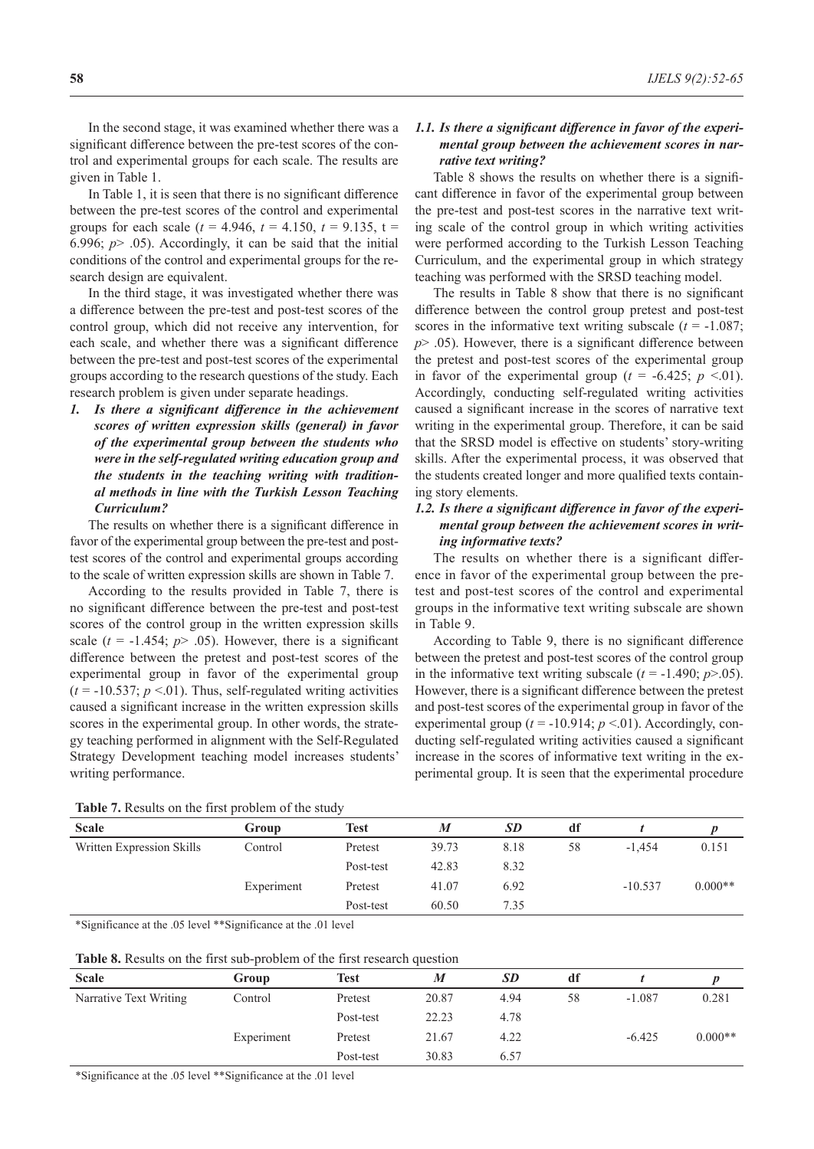In the second stage, it was examined whether there was a significant difference between the pre-test scores of the control and experimental groups for each scale. The results are given in Table 1.

In Table 1, it is seen that there is no significant difference between the pre-test scores of the control and experimental groups for each scale ( $t = 4.946$ ,  $t = 4.150$ ,  $t = 9.135$ ,  $t =$ 6.996; *p*> .05). Accordingly, it can be said that the initial conditions of the control and experimental groups for the research design are equivalent.

In the third stage, it was investigated whether there was a difference between the pre-test and post-test scores of the control group, which did not receive any intervention, for each scale, and whether there was a significant difference between the pre-test and post-test scores of the experimental groups according to the research questions of the study. Each research problem is given under separate headings.

*1. Is there a significant difference in the achievement scores of written expression skills (general) in favor of the experimental group between the students who were in the self-regulated writing education group and the students in the teaching writing with traditional methods in line with the Turkish Lesson Teaching Curriculum?*

The results on whether there is a significant difference in favor of the experimental group between the pre-test and posttest scores of the control and experimental groups according to the scale of written expression skills are shown in Table 7.

According to the results provided in Table 7, there is no significant difference between the pre-test and post-test scores of the control group in the written expression skills scale  $(t = -1.454; p > .05)$ . However, there is a significant difference between the pretest and post-test scores of the experimental group in favor of the experimental group  $(t = -10.537; p < 0.01)$ . Thus, self-regulated writing activities caused a significant increase in the written expression skills scores in the experimental group. In other words, the strategy teaching performed in alignment with the Self-Regulated Strategy Development teaching model increases students' writing performance.

## *1.1. Is there a significant difference in favor of the experimental group between the achievement scores in narrative text writing?*

Table 8 shows the results on whether there is a significant difference in favor of the experimental group between the pre-test and post-test scores in the narrative text writing scale of the control group in which writing activities were performed according to the Turkish Lesson Teaching Curriculum, and the experimental group in which strategy teaching was performed with the SRSD teaching model.

The results in Table 8 show that there is no significant difference between the control group pretest and post-test scores in the informative text writing subscale  $(t = -1.087)$ ; *p*> .05). However, there is a significant difference between the pretest and post-test scores of the experimental group in favor of the experimental group ( $t = -6.425$ ;  $p \le 01$ ). Accordingly, conducting self-regulated writing activities caused a significant increase in the scores of narrative text writing in the experimental group. Therefore, it can be said that the SRSD model is effective on students' story-writing skills. After the experimental process, it was observed that the students created longer and more qualified texts containing story elements.

## *1.2. Is there a significant difference in favor of the experimental group between the achievement scores in writing informative texts?*

The results on whether there is a significant difference in favor of the experimental group between the pretest and post-test scores of the control and experimental groups in the informative text writing subscale are shown in Table 9.

According to Table 9, there is no significant difference between the pretest and post-test scores of the control group in the informative text writing subscale  $(t = -1.490; p > 0.05)$ . However, there is a significant difference between the pretest and post-test scores of the experimental group in favor of the experimental group ( $t = -10.914$ ;  $p < 01$ ). Accordingly, conducting self-regulated writing activities caused a significant increase in the scores of informative text writing in the experimental group. It is seen that the experimental procedure

| Table 7. Results on the first problem of the study |  |  |  |  |  |
|----------------------------------------------------|--|--|--|--|--|
|----------------------------------------------------|--|--|--|--|--|

| <b>Scale</b>              | Group      | Test      | M     | <b>SD</b> | df |           |           |
|---------------------------|------------|-----------|-------|-----------|----|-----------|-----------|
| Written Expression Skills | Control    | Pretest   | 39.73 | 8.18      | 58 | $-1.454$  | 0.151     |
|                           |            | Post-test | 42.83 | 8.32      |    |           |           |
|                           | Experiment | Pretest   | 41.07 | 6.92      |    | $-10.537$ | $0.000**$ |
|                           |            | Post-test | 60.50 | 7.35      |    |           |           |

\*Significance at the .05 level \*\*Significance at the .01 level

| Group      | Test      | M     | <b>SD</b> | df |          |           |
|------------|-----------|-------|-----------|----|----------|-----------|
| Control    | Pretest   | 20.87 | 4.94      | 58 | $-1.087$ | 0.281     |
|            | Post-test | 22.23 | 4.78      |    |          |           |
| Experiment | Pretest   | 21.67 | 4.22      |    | $-6.425$ | $0.000**$ |
|            | Post-test | 30.83 | 6.57      |    |          |           |
|            |           |       |           |    |          |           |

\*Significance at the .05 level \*\*Significance at the .01 level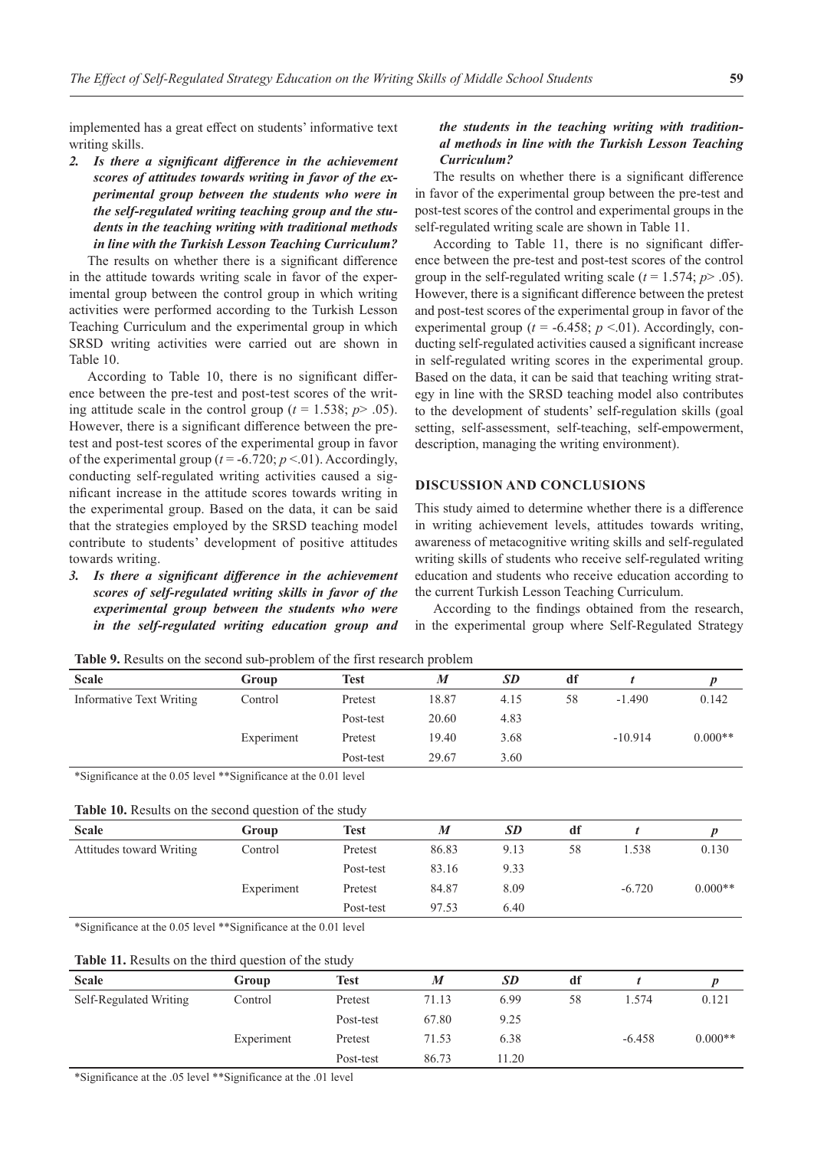implemented has a great effect on students' informative text writing skills.

*2. Is there a significant difference in the achievement scores of attitudes towards writing in favor of the experimental group between the students who were in the self-regulated writing teaching group and the students in the teaching writing with traditional methods in line with the Turkish Lesson Teaching Curriculum?*

The results on whether there is a significant difference in the attitude towards writing scale in favor of the experimental group between the control group in which writing activities were performed according to the Turkish Lesson Teaching Curriculum and the experimental group in which SRSD writing activities were carried out are shown in Table 10.

According to Table 10, there is no significant difference between the pre-test and post-test scores of the writing attitude scale in the control group ( $t = 1.538$ ;  $p > .05$ ). However, there is a significant difference between the pretest and post-test scores of the experimental group in favor of the experimental group ( $t = -6.720$ ;  $p < 01$ ). Accordingly, conducting self-regulated writing activities caused a significant increase in the attitude scores towards writing in the experimental group. Based on the data, it can be said that the strategies employed by the SRSD teaching model contribute to students' development of positive attitudes towards writing.

*3. Is there a significant difference in the achievement scores of self-regulated writing skills in favor of the experimental group between the students who were in the self-regulated writing education group and*

## *the students in the teaching writing with traditional methods in line with the Turkish Lesson Teaching Curriculum?*

The results on whether there is a significant difference in favor of the experimental group between the pre-test and post-test scores of the control and experimental groups in the self-regulated writing scale are shown in Table 11.

According to Table 11, there is no significant difference between the pre-test and post-test scores of the control group in the self-regulated writing scale ( $t = 1.574$ ;  $p > .05$ ). However, there is a significant difference between the pretest and post-test scores of the experimental group in favor of the experimental group ( $t = -6.458$ ;  $p \le 01$ ). Accordingly, conducting self-regulated activities caused a significant increase in self-regulated writing scores in the experimental group. Based on the data, it can be said that teaching writing strategy in line with the SRSD teaching model also contributes to the development of students' self-regulation skills (goal setting, self-assessment, self-teaching, self-empowerment, description, managing the writing environment).

## **DISCUSSION AND CONCLUSIONS**

This study aimed to determine whether there is a difference in writing achievement levels, attitudes towards writing, awareness of metacognitive writing skills and self-regulated writing skills of students who receive self-regulated writing education and students who receive education according to the current Turkish Lesson Teaching Curriculum.

According to the findings obtained from the research, in the experimental group where Self-Regulated Strategy

| <b>Scale</b>             | Group      | <b>Test</b> | M     | SD   | df |           |           |
|--------------------------|------------|-------------|-------|------|----|-----------|-----------|
| Informative Text Writing | Control    | Pretest     | 18.87 | 4.15 | 58 | $-1.490$  | 0.142     |
|                          |            | Post-test   | 20.60 | 4.83 |    |           |           |
|                          | Experiment | Pretest     | 19.40 | 3.68 |    | $-10.914$ | $0.000**$ |
|                          |            | Post-test   | 29.67 | 3.60 |    |           |           |

**Table 9.** Results on the second sub-problem of the first research problem

\*Significance at the 0.05 level \*\*Significance at the 0.01 level

**Table 10.** Results on the second question of the study

| <b>Scale</b>             | Group      | Test      | M     | <b>SD</b> | df |          |           |
|--------------------------|------------|-----------|-------|-----------|----|----------|-----------|
| Attitudes toward Writing | Control    | Pretest   | 86.83 | 9.13      | 58 | 1.538    | 0.130     |
|                          |            | Post-test | 83.16 | 9.33      |    |          |           |
|                          | Experiment | Pretest   | 84.87 | 8.09      |    | $-6.720$ | $0.000**$ |
|                          |            | Post-test | 97.53 | 6.40      |    |          |           |
|                          |            |           |       |           |    |          |           |

\*Significance at the 0.05 level \*\*Significance at the 0.01 level

### **Table 11.** Results on the third question of the study

| <b>Scale</b>           | Group      | <b>Test</b> | M     | <b>SD</b> | df |          |           |
|------------------------|------------|-------------|-------|-----------|----|----------|-----------|
| Self-Regulated Writing | Control    | Pretest     | 71.13 | 6.99      | 58 | .574     | 0.121     |
|                        |            | Post-test   | 67.80 | 9.25      |    |          |           |
|                        | Experiment | Pretest     | 71.53 | 6.38      |    | $-6.458$ | $0.000**$ |
|                        |            | Post-test   | 86.73 | 11.20     |    |          |           |

\*Significance at the .05 level \*\*Significance at the .01 level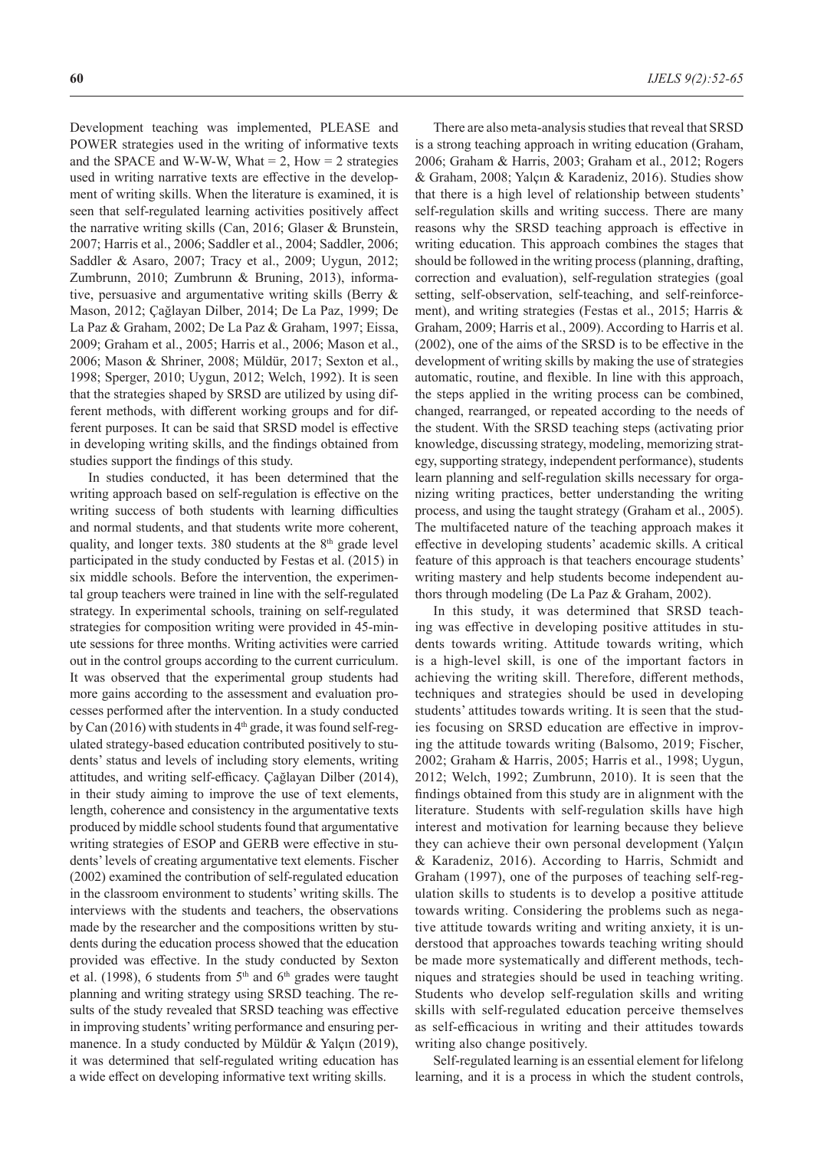Development teaching was implemented, PLEASE and POWER strategies used in the writing of informative texts and the SPACE and W-W-W, What  $= 2$ , How  $= 2$  strategies used in writing narrative texts are effective in the development of writing skills. When the literature is examined, it is seen that self-regulated learning activities positively affect the narrative writing skills (Can, 2016; Glaser & Brunstein, 2007; Harris et al., 2006; Saddler et al., 2004; Saddler, 2006; Saddler & Asaro, 2007; Tracy et al., 2009; Uygun, 2012; Zumbrunn, 2010; Zumbrunn & Bruning, 2013), informative, persuasive and argumentative writing skills (Berry & Mason, 2012; Çağlayan Dilber, 2014; De La Paz, 1999; De La Paz & Graham, 2002; De La Paz & Graham, 1997; Eissa, 2009; Graham et al., 2005; Harris et al., 2006; Mason et al., 2006; Mason & Shriner, 2008; Müldür, 2017; Sexton et al., 1998; Sperger, 2010; Uygun, 2012; Welch, 1992). It is seen that the strategies shaped by SRSD are utilized by using different methods, with different working groups and for different purposes. It can be said that SRSD model is effective in developing writing skills, and the findings obtained from studies support the findings of this study.

In studies conducted, it has been determined that the writing approach based on self-regulation is effective on the writing success of both students with learning difficulties and normal students, and that students write more coherent, quality, and longer texts.  $380$  students at the  $8<sup>th</sup>$  grade level participated in the study conducted by Festas et al. (2015) in six middle schools. Before the intervention, the experimental group teachers were trained in line with the self-regulated strategy. In experimental schools, training on self-regulated strategies for composition writing were provided in 45-minute sessions for three months. Writing activities were carried out in the control groups according to the current curriculum. It was observed that the experimental group students had more gains according to the assessment and evaluation processes performed after the intervention. In a study conducted by Can (2016) with students in  $4<sup>th</sup>$  grade, it was found self-regulated strategy-based education contributed positively to students' status and levels of including story elements, writing attitudes, and writing self-efficacy. Çağlayan Dilber (2014), in their study aiming to improve the use of text elements, length, coherence and consistency in the argumentative texts produced by middle school students found that argumentative writing strategies of ESOP and GERB were effective in students' levels of creating argumentative text elements. Fischer (2002) examined the contribution of self-regulated education in the classroom environment to students' writing skills. The interviews with the students and teachers, the observations made by the researcher and the compositions written by students during the education process showed that the education provided was effective. In the study conducted by Sexton et al. (1998), 6 students from  $5<sup>th</sup>$  and  $6<sup>th</sup>$  grades were taught planning and writing strategy using SRSD teaching. The results of the study revealed that SRSD teaching was effective in improving students' writing performance and ensuring permanence. In a study conducted by Müldür & Yalçın (2019), it was determined that self-regulated writing education has a wide effect on developing informative text writing skills.

There are also meta-analysis studies that reveal that SRSD is a strong teaching approach in writing education (Graham, 2006; Graham & Harris, 2003; Graham et al., 2012; Rogers & Graham, 2008; Yalçın & Karadeniz, 2016). Studies show that there is a high level of relationship between students' self-regulation skills and writing success. There are many reasons why the SRSD teaching approach is effective in writing education. This approach combines the stages that should be followed in the writing process (planning, drafting, correction and evaluation), self-regulation strategies (goal setting, self-observation, self-teaching, and self-reinforcement), and writing strategies (Festas et al., 2015; Harris & Graham, 2009; Harris et al., 2009). According to Harris et al. (2002), one of the aims of the SRSD is to be effective in the development of writing skills by making the use of strategies automatic, routine, and flexible. In line with this approach, the steps applied in the writing process can be combined, changed, rearranged, or repeated according to the needs of the student. With the SRSD teaching steps (activating prior knowledge, discussing strategy, modeling, memorizing strategy, supporting strategy, independent performance), students learn planning and self-regulation skills necessary for organizing writing practices, better understanding the writing process, and using the taught strategy (Graham et al., 2005). The multifaceted nature of the teaching approach makes it effective in developing students' academic skills. A critical feature of this approach is that teachers encourage students' writing mastery and help students become independent authors through modeling (De La Paz & Graham, 2002).

In this study, it was determined that SRSD teaching was effective in developing positive attitudes in students towards writing. Attitude towards writing, which is a high-level skill, is one of the important factors in achieving the writing skill. Therefore, different methods, techniques and strategies should be used in developing students' attitudes towards writing. It is seen that the studies focusing on SRSD education are effective in improving the attitude towards writing (Balsomo, 2019; Fischer, 2002; Graham & Harris, 2005; Harris et al., 1998; Uygun, 2012; Welch, 1992; Zumbrunn, 2010). It is seen that the findings obtained from this study are in alignment with the literature. Students with self-regulation skills have high interest and motivation for learning because they believe they can achieve their own personal development (Yalçın & Karadeniz, 2016). According to Harris, Schmidt and Graham (1997), one of the purposes of teaching self-regulation skills to students is to develop a positive attitude towards writing. Considering the problems such as negative attitude towards writing and writing anxiety, it is understood that approaches towards teaching writing should be made more systematically and different methods, techniques and strategies should be used in teaching writing. Students who develop self-regulation skills and writing skills with self-regulated education perceive themselves as self-efficacious in writing and their attitudes towards writing also change positively.

Self-regulated learning is an essential element for lifelong learning, and it is a process in which the student controls,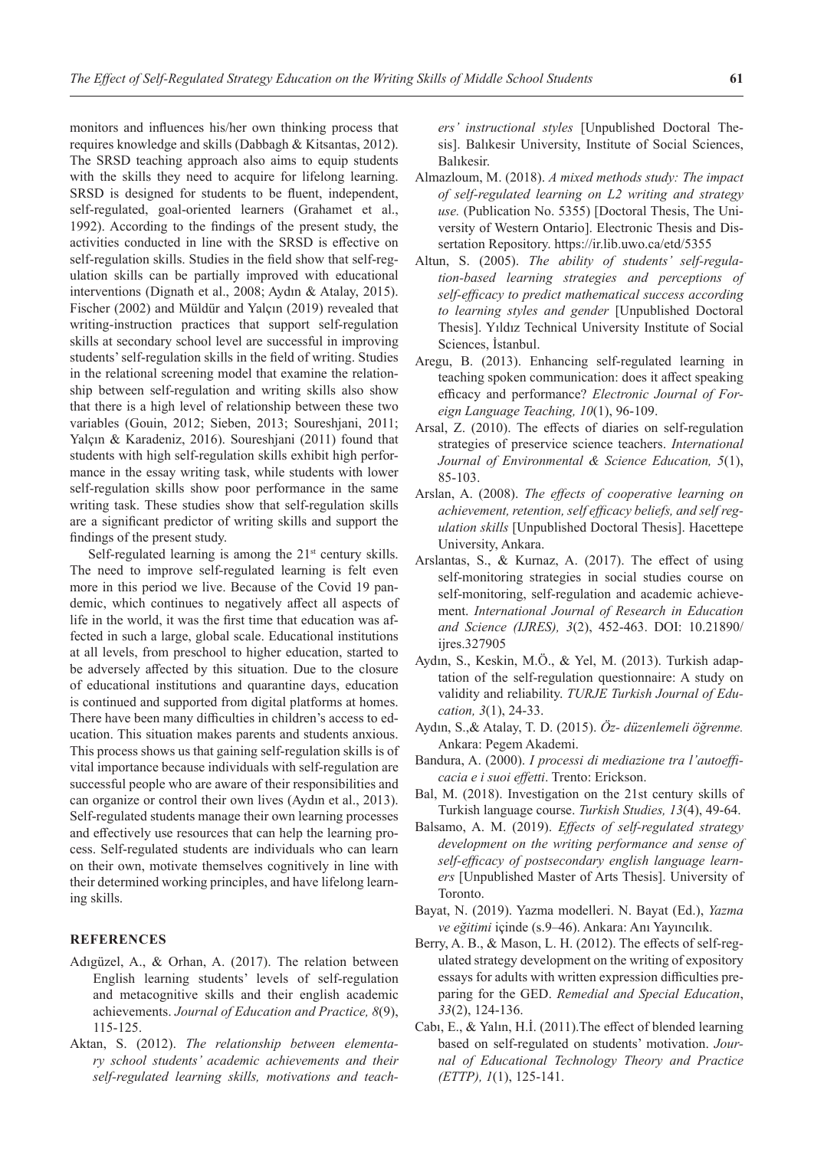monitors and influences his/her own thinking process that requires knowledge and skills (Dabbagh & Kitsantas, 2012). The SRSD teaching approach also aims to equip students with the skills they need to acquire for lifelong learning. SRSD is designed for students to be fluent, independent, self-regulated, goal-oriented learners (Grahamet et al., 1992). According to the findings of the present study, the activities conducted in line with the SRSD is effective on self-regulation skills. Studies in the field show that self-regulation skills can be partially improved with educational interventions (Dignath et al., 2008; Aydın & Atalay, 2015). Fischer (2002) and Müldür and Yalçın (2019) revealed that writing-instruction practices that support self-regulation skills at secondary school level are successful in improving students' self-regulation skills in the field of writing. Studies in the relational screening model that examine the relationship between self-regulation and writing skills also show that there is a high level of relationship between these two variables (Gouin, 2012; Sieben, 2013; Soureshjani, 2011; Yalçın & Karadeniz, 2016). Soureshjani (2011) found that students with high self-regulation skills exhibit high performance in the essay writing task, while students with lower self-regulation skills show poor performance in the same writing task. These studies show that self-regulation skills are a significant predictor of writing skills and support the findings of the present study.

Self-regulated learning is among the  $21<sup>st</sup>$  century skills. The need to improve self-regulated learning is felt even more in this period we live. Because of the Covid 19 pandemic, which continues to negatively affect all aspects of life in the world, it was the first time that education was affected in such a large, global scale. Educational institutions at all levels, from preschool to higher education, started to be adversely affected by this situation. Due to the closure of educational institutions and quarantine days, education is continued and supported from digital platforms at homes. There have been many difficulties in children's access to education. This situation makes parents and students anxious. This process shows us that gaining self-regulation skills is of vital importance because individuals with self-regulation are successful people who are aware of their responsibilities and can organize or control their own lives (Aydın et al., 2013). Self-regulated students manage their own learning processes and effectively use resources that can help the learning process. Self-regulated students are individuals who can learn on their own, motivate themselves cognitively in line with their determined working principles, and have lifelong learning skills.

## **REFERENCES**

- Adıgüzel, A., & Orhan, A. (2017). The relation between English learning students' levels of self-regulation and metacognitive skills and their english academic achievements. *Journal of Education and Practice, 8*(9), 115-125.
- Aktan, S. (2012). *The relationship between elementary school students' academic achievements and their self-regulated learning skills, motivations and teach-*

*ers' instructional styles* [Unpublished Doctoral Thesis]. Balıkesir University, Institute of Social Sciences, Balıkesir.

- Almazloum, M. (2018). *A mixed methods study: The impact of self-regulated learning on L2 writing and strategy use.* (Publication No. 5355) [Doctoral Thesis, The University of Western Ontario]. Electronic Thesis and Dissertation Repository. https://ir.lib.uwo.ca/etd/5355
- Altun, S. (2005). *The ability of students' self-regulation-based learning strategies and perceptions of self-efficacy to predict mathematical success according to learning styles and gender* [Unpublished Doctoral Thesis]. Yıldız Technical University Institute of Social Sciences, İstanbul.
- Aregu, B. (2013). Enhancing self-regulated learning in teaching spoken communication: does it affect speaking efficacy and performance? *Electronic Journal of Foreign Language Teaching, 10*(1), 96-109.
- Arsal, Z. (2010). The effects of diaries on self-regulation strategies of preservice science teachers. *International Journal of Environmental & Science Education, 5*(1), 85-103.
- Arslan, A. (2008). *The effects of cooperative learning on achievement, retention, self efficacy beliefs, and self regulation skills* [Unpublished Doctoral Thesis]. Hacettepe University, Ankara.
- Arslantas, S., & Kurnaz, A. (2017). The effect of using self-monitoring strategies in social studies course on self-monitoring, self-regulation and academic achievement. *International Journal of Research in Education and Science (IJRES), 3*(2), 452-463. DOI: 10.21890/ ijres.327905
- Aydın, S., Keskin, M.Ö., & Yel, M. (2013). Turkish adaptation of the self-regulation questionnaire: A study on validity and reliability. *TURJE Turkish Journal of Education, 3*(1), 24-33.
- Aydın, S.,& Atalay, T. D. (2015). *Öz- düzenlemeli öğrenme.* Ankara: Pegem Akademi.
- Bandura, A. (2000). *I processi di mediazione tra l'autoefficacia e i suoi effetti*. Trento: Erickson.
- Bal, M. (2018). Investigation on the 21st century skills of Turkish language course. *Turkish Studies, 13*(4), 49-64.
- Balsamo, A. M. (2019). *Effects of self-regulated strategy development on the writing performance and sense of self-efficacy of postsecondary english language learners* [Unpublished Master of Arts Thesis]. University of Toronto.
- Bayat, N. (2019). Yazma modelleri. N. Bayat (Ed.), *Yazma ve eğitimi* içinde (s.9–46). Ankara: Anı Yayıncılık.
- Berry, A. B., & Mason, L. H. (2012). The effects of self-regulated strategy development on the writing of expository essays for adults with written expression difficulties preparing for the GED. *Remedial and Special Education*, *33*(2), 124-136.
- Cabı, E., & Yalın, H.İ. (2011).The effect of blended learning based on self-regulated on students' motivation. *Journal of Educational Technology Theory and Practice (ETTP), 1*(1), 125-141.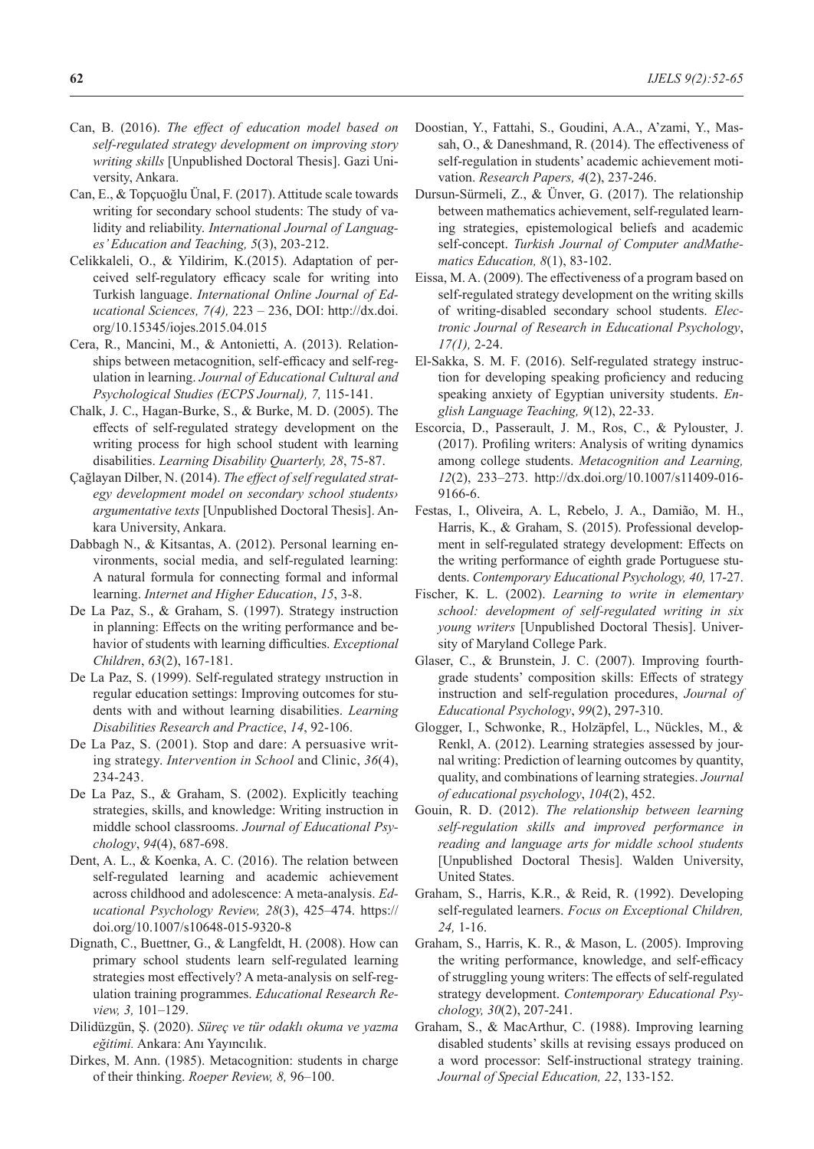- Can, B. (2016). *The effect of education model based on self-regulated strategy development on improving story writing skills* [Unpublished Doctoral Thesis]. Gazi University, Ankara.
- Can, E., & Topçuoğlu Ünal, F. (2017). Attitude scale towards writing for secondary school students: The study of validity and reliability. *International Journal of Languages' Education and Teaching, 5*(3), 203-212.
- Celikkaleli, O., & Yildirim, K.(2015). Adaptation of perceived self-regulatory efficacy scale for writing into Turkish language. *International Online Journal of Educational Sciences, 7(4),* 223 – 236, DOI: http://dx.doi. org/10.15345/iojes.2015.04.015
- Cera, R., Mancini, M., & Antonietti, A. (2013). Relationships between metacognition, self-efficacy and self-regulation in learning. *Journal of Educational Cultural and Psychological Studies (ECPS Journal), 7,* 115-141.
- Chalk, J. C., Hagan-Burke, S., & Burke, M. D. (2005). The effects of self-regulated strategy development on the writing process for high school student with learning disabilities. *Learning Disability Quarterly, 28*, 75-87.
- Çağlayan Dilber, N. (2014). *The effect of self regulated strategy development model on secondary school students› argumentative texts* [Unpublished Doctoral Thesis]. Ankara University, Ankara.
- Dabbagh N., & Kitsantas, A. (2012). Personal learning environments, social media, and self-regulated learning: A natural formula for connecting formal and informal learning. *Internet and Higher Education*, *15*, 3-8.
- De La Paz, S., & Graham, S. (1997). Strategy instruction in planning: Effects on the writing performance and behavior of students with learning difficulties. *Exceptional Children*, *63*(2), 167-181.
- De La Paz, S. (1999). Self-regulated strategy ınstruction in regular education settings: Improving outcomes for students with and without learning disabilities. *Learning Disabilities Research and Practice*, *14*, 92-106.
- De La Paz, S. (2001). Stop and dare: A persuasive writing strategy. *Intervention in School* and Clinic, *36*(4), 234-243.
- De La Paz, S., & Graham, S. (2002). Explicitly teaching strategies, skills, and knowledge: Writing instruction in middle school classrooms. *Journal of Educational Psychology*, *94*(4), 687-698.
- Dent, A. L., & Koenka, A. C. (2016). The relation between self-regulated learning and academic achievement across childhood and adolescence: A meta-analysis. *Educational Psychology Review, 28*(3), 425–474. https:// doi.org/10.1007/s10648-015-9320-8
- Dignath, C., Buettner, G., & Langfeldt, H. (2008). How can primary school students learn self-regulated learning strategies most effectively? A meta-analysis on self-regulation training programmes. *Educational Research Review, 3,* 101–129.
- Dilidüzgün, Ş. (2020). *Süreç ve tür odaklı okuma ve yazma eğitimi.* Ankara: Anı Yayıncılık.
- Dirkes, M. Ann. (1985). Metacognition: students in charge of their thinking. *Roeper Review, 8,* 96–100.
- Doostian, Y., Fattahi, S., Goudini, A.A., A'zami, Y., Massah, O., & Daneshmand, R. (2014). The effectiveness of self-regulation in students' academic achievement motivation. *Research Papers, 4*(2), 237-246.
- Dursun-Sürmeli, Z., & Ünver, G. (2017). The relationship between mathematics achievement, self-regulated learning strategies, epistemological beliefs and academic self-concept. *Turkish Journal of Computer andMathematics Education, 8*(1), 83-102.
- Eissa, M. A. (2009). The effectiveness of a program based on self-regulated strategy development on the writing skills of writing-disabled secondary school students. *Electronic Journal of Research in Educational Psychology*, *17(1),* 2-24.
- El-Sakka, S. M. F. (2016). Self-regulated strategy instruction for developing speaking proficiency and reducing speaking anxiety of Egyptian university students. *English Language Teaching, 9*(12), 22-33.
- Escorcia, D., Passerault, J. M., Ros, C., & Pylouster, J. (2017). Profiling writers: Analysis of writing dynamics among college students. *Metacognition and Learning, 12*(2), 233–273. http://dx.doi.org/10.1007/s11409-016- 9166-6.
- Festas, I., Oliveira, A. L, Rebelo, J. A., Damião, M. H., Harris, K., & Graham, S. (2015). Professional development in self-regulated strategy development: Effects on the writing performance of eighth grade Portuguese students. *Contemporary Educational Psychology, 40,* 17-27.
- Fischer, K. L. (2002). *Learning to write in elementary school: development of self-regulated writing in six young writers* [Unpublished Doctoral Thesis]. University of Maryland College Park.
- Glaser, C., & Brunstein, J. C. (2007). Improving fourthgrade students' composition skills: Effects of strategy instruction and self-regulation procedures, *Journal of Educational Psychology*, *99*(2), 297-310.
- Glogger, I., Schwonke, R., Holzäpfel, L., Nückles, M., & Renkl, A. (2012). Learning strategies assessed by journal writing: Prediction of learning outcomes by quantity, quality, and combinations of learning strategies. *Journal of educational psychology*, *104*(2), 452.
- Gouin, R. D. (2012). *The relationship between learning self-regulation skills and improved performance in reading and language arts for middle school students* [Unpublished Doctoral Thesis]. Walden University, United States.
- Graham, S., Harris, K.R., & Reid, R. (1992). Developing self-regulated learners. *Focus on Exceptional Children, 24,* 1-16.
- Graham, S., Harris, K. R., & Mason, L. (2005). Improving the writing performance, knowledge, and self-efficacy of struggling young writers: The effects of self-regulated strategy development. *Contemporary Educational Psychology, 30*(2), 207-241.
- Graham, S., & MacArthur, C. (1988). Improving learning disabled students' skills at revising essays produced on a word processor: Self-instructional strategy training. *Journal of Special Education, 22*, 133-152.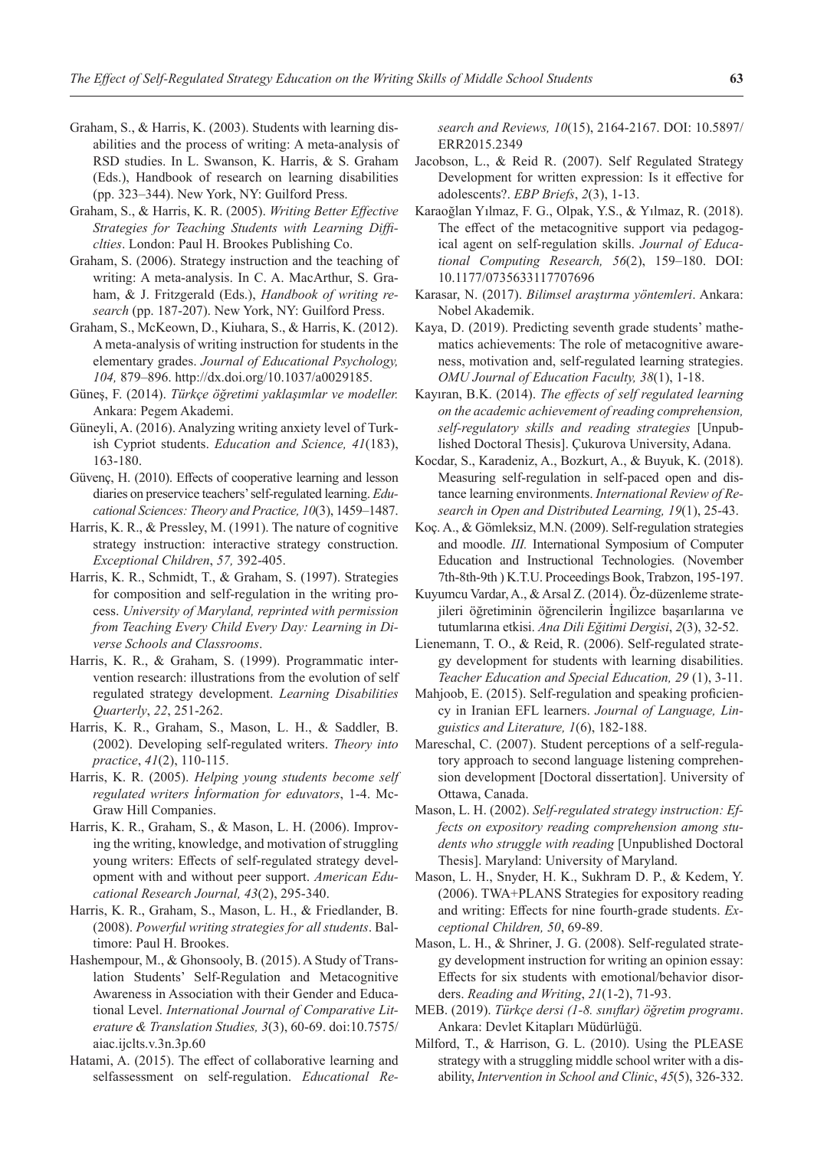- Graham, S., & Harris, K. (2003). Students with learning disabilities and the process of writing: A meta-analysis of RSD studies. In L. Swanson, K. Harris, & S. Graham (Eds.), Handbook of research on learning disabilities (pp. 323–344). New York, NY: Guilford Press.
- Graham, S., & Harris, K. R. (2005). *Writing Better Effective Strategies for Teaching Students with Learning Difficlties*. London: Paul H. Brookes Publishing Co.
- Graham, S. (2006). Strategy instruction and the teaching of writing: A meta-analysis. In C. A. MacArthur, S. Graham, & J. Fritzgerald (Eds.), *Handbook of writing research* (pp. 187-207). New York, NY: Guilford Press.
- Graham, S., McKeown, D., Kiuhara, S., & Harris, K. (2012). A meta-analysis of writing instruction for students in the elementary grades. *Journal of Educational Psychology, 104,* 879–896. http://dx.doi.org/10.1037/a0029185.
- Güneş, F. (2014). *Türkçe öğretimi yaklaşımlar ve modeller.* Ankara: Pegem Akademi.
- Güneyli, A. (2016). Analyzing writing anxiety level of Turkish Cypriot students. *Education and Science, 41*(183), 163-180.
- Güvenç, H. (2010). Effects of cooperative learning and lesson diaries on preservice teachers' self-regulated learning. *Educational Sciences: Theory and Practice, 10*(3), 1459–1487.
- Harris, K. R., & Pressley, M. (1991). The nature of cognitive strategy instruction: interactive strategy construction. *Exceptional Children*, *57,* 392-405.
- Harris, K. R., Schmidt, T., & Graham, S. (1997). Strategies for composition and self-regulation in the writing process. *University of Maryland, reprinted with permission from Teaching Every Child Every Day: Learning in Diverse Schools and Classrooms*.
- Harris, K. R., & Graham, S. (1999). Programmatic intervention research: illustrations from the evolution of self regulated strategy development. *Learning Disabilities Quarterly*, *22*, 251-262.
- Harris, K. R., Graham, S., Mason, L. H., & Saddler, B. (2002). Developing self-regulated writers. *Theory into practice*, *41*(2), 110-115.
- Harris, K. R. (2005). *Helping young students become self regulated writers İnformation for eduvators*, 1-4. Mc-Graw Hill Companies.
- Harris, K. R., Graham, S., & Mason, L. H. (2006). Improving the writing, knowledge, and motivation of struggling young writers: Effects of self-regulated strategy development with and without peer support. *American Educational Research Journal, 43*(2), 295-340.
- Harris, K. R., Graham, S., Mason, L. H., & Friedlander, B. (2008). *Powerful writing strategies for all students*. Baltimore: Paul H. Brookes.
- Hashempour, M., & Ghonsooly, B. (2015). A Study of Translation Students' Self-Regulation and Metacognitive Awareness in Association with their Gender and Educational Level. *International Journal of Comparative Literature & Translation Studies, 3*(3), 60-69. doi:10.7575/ aiac.ijclts.v.3n.3p.60
- Hatami, A. (2015). The effect of collaborative learning and selfassessment on self-regulation. *Educational Re-*

*search and Reviews, 10*(15), 2164-2167. DOI: 10.5897/ ERR2015.2349

- Jacobson, L., & Reid R. (2007). Self Regulated Strategy Development for written expression: Is it effective for adolescents?. *EBP Briefs*, *2*(3), 1-13.
- Karaoğlan Yılmaz, F. G., Olpak, Y.S., & Yılmaz, R. (2018). The effect of the metacognitive support via pedagogical agent on self-regulation skills. *Journal of Educational Computing Research, 56*(2), 159–180. DOI: 10.1177/0735633117707696
- Karasar, N. (2017). *Bilimsel araştırma yöntemleri*. Ankara: Nobel Akademik.
- Kaya, D. (2019). Predicting seventh grade students' mathematics achievements: The role of metacognitive awareness, motivation and, self-regulated learning strategies. *OMU Journal of Education Faculty, 38*(1), 1-18.
- Kayıran, B.K. (2014). *The effects of self regulated learning on the academic achievement of reading comprehension, self-regulatory skills and reading strategies* [Unpublished Doctoral Thesis]. Çukurova University, Adana.
- Kocdar, S., Karadeniz, A., Bozkurt, A., & Buyuk, K. (2018). Measuring self-regulation in self-paced open and distance learning environments. *International Review of Research in Open and Distributed Learning, 19*(1), 25-43.
- Koç. A., & Gömleksiz, M.N. (2009). Self-regulation strategies and moodle. *III.* International Symposium of Computer Education and Instructional Technologies. (November 7th-8th-9th ) K.T.U. Proceedings Book, Trabzon, 195-197.
- Kuyumcu Vardar, A., & Arsal Z. (2014). Öz-düzenleme stratejileri öğretiminin öğrencilerin İngilizce başarılarına ve tutumlarına etkisi. *Ana Dili Eğitimi Dergisi*, *2*(3), 32-52.
- Lienemann, T. O., & Reid, R. (2006). Self-regulated strategy development for students with learning disabilities. *Teacher Education and Special Education, 29* (1), 3-11.
- Mahjoob, E. (2015). Self-regulation and speaking proficiency in Iranian EFL learners. *Journal of Language, Linguistics and Literature, 1*(6), 182-188.
- Mareschal, C. (2007). Student perceptions of a self-regulatory approach to second language listening comprehension development [Doctoral dissertation]. University of Ottawa, Canada.
- Mason, L. H. (2002). *Self-regulated strategy instruction: Effects on expository reading comprehension among students who struggle with reading* [Unpublished Doctoral Thesis]. Maryland: University of Maryland.
- Mason, L. H., Snyder, H. K., Sukhram D. P., & Kedem, Y. (2006). TWA+PLANS Strategies for expository reading and writing: Effects for nine fourth-grade students. *Exceptional Children, 50*, 69-89.
- Mason, L. H., & Shriner, J. G. (2008). Self-regulated strategy development instruction for writing an opinion essay: Effects for six students with emotional/behavior disorders. *Reading and Writing*, *21*(1-2), 71-93.
- MEB. (2019). *Türkçe dersi (1-8. sınıflar) öğretim programı*. Ankara: Devlet Kitapları Müdürlüğü.
- Milford, T., & Harrison, G. L. (2010). Using the PLEASE strategy with a struggling middle school writer with a disability, *Intervention in School and Clinic*, *45*(5), 326-332.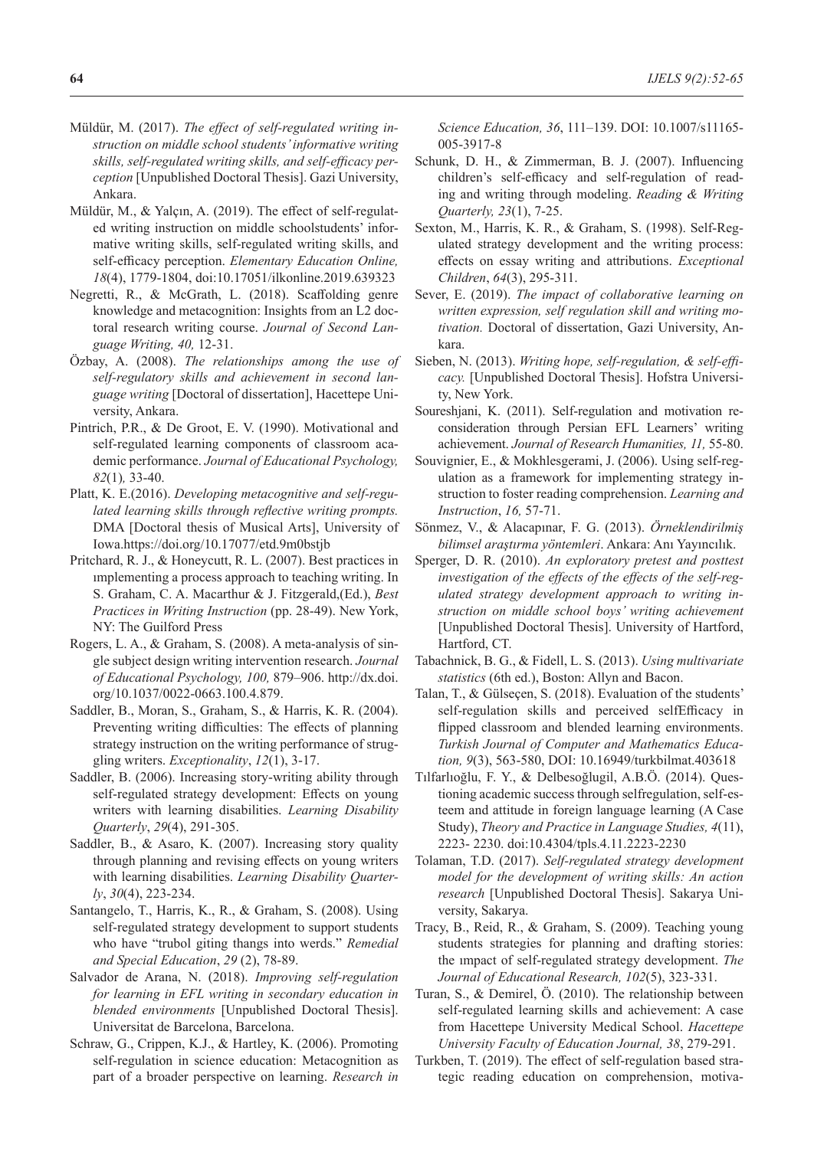- Müldür, M. (2017). *The effect of self-regulated writing instruction on middle school students' informative writing skills, self-regulated writing skills, and self-efficacy perception* [Unpublished Doctoral Thesis]. Gazi University, Ankara.
- Müldür, M., & Yalçın, A. (2019). The effect of self-regulated writing instruction on middle schoolstudents' informative writing skills, self-regulated writing skills, and self-efficacy perception. *Elementary Education Online, 18*(4), 1779-1804, doi:10.17051/ilkonline.2019.639323
- Negretti, R., & McGrath, L. (2018). Scaffolding genre knowledge and metacognition: Insights from an L2 doctoral research writing course. *Journal of Second Language Writing, 40,* 12-31.
- Özbay, A. (2008). *The relationships among the use of self-regulatory skills and achievement in second language writing* [Doctoral of dissertation], Hacettepe University, Ankara.
- Pintrich, P.R., & De Groot, E. V. (1990). Motivational and self-regulated learning components of classroom academic performance. *Journal of Educational Psychology, 82*(1)*,* 33-40.
- Platt, K. E.(2016). *Developing metacognitive and self-regulated learning skills through reflective writing prompts.* DMA [Doctoral thesis of Musical Arts], University of Iowa.https://doi.org/10.17077/etd.9m0bstjb
- Pritchard, R. J., & Honeycutt, R. L. (2007). Best practices in ımplementing a process approach to teaching writing. In S. Graham, C. A. Macarthur & J. Fitzgerald,(Ed.), *Best Practices in Writing Instruction* (pp. 28-49). New York, NY: The Guilford Press
- Rogers, L. A., & Graham, S. (2008). A meta-analysis of single subject design writing intervention research. *Journal of Educational Psychology, 100,* 879–906. http://dx.doi. org/10.1037/0022-0663.100.4.879.
- Saddler, B., Moran, S., Graham, S., & Harris, K. R. (2004). Preventing writing difficulties: The effects of planning strategy instruction on the writing performance of struggling writers. *Exceptionality*, *12*(1), 3-17.
- Saddler, B. (2006). Increasing story-writing ability through self-regulated strategy development: Effects on young writers with learning disabilities. *Learning Disability Quarterly*, *29*(4), 291-305.
- Saddler, B., & Asaro, K. (2007). Increasing story quality through planning and revising effects on young writers with learning disabilities. *Learning Disability Quarterly*, *30*(4), 223-234.
- Santangelo, T., Harris, K., R., & Graham, S. (2008). Using self-regulated strategy development to support students who have "trubol giting thangs into werds." *Remedial and Special Education*, *29* (2), 78-89.
- Salvador de Arana, N. (2018). *Improving self-regulation for learning in EFL writing in secondary education in blended environments* [Unpublished Doctoral Thesis]. Universitat de Barcelona, Barcelona.
- Schraw, G., Crippen, K.J., & Hartley, K. (2006). Promoting self-regulation in science education: Metacognition as part of a broader perspective on learning. *Research in*

*Science Education, 36*, 111–139. DOI: 10.1007/s11165- 005-3917-8

- Schunk, D. H., & Zimmerman, B. J. (2007). Influencing children's self-efficacy and self-regulation of reading and writing through modeling. *Reading & Writing Quarterly, 23*(1), 7-25.
- Sexton, M., Harris, K. R., & Graham, S. (1998). Self-Regulated strategy development and the writing process: effects on essay writing and attributions. *Exceptional Children*, *64*(3), 295-311.
- Sever, E. (2019). *The impact of collaborative learning on written expression, self regulation skill and writing motivation.* Doctoral of dissertation, Gazi University, Ankara.
- Sieben, N. (2013). *Writing hope, self-regulation, & self-efficacy.* [Unpublished Doctoral Thesis]. Hofstra University, New York.
- Soureshjani, K. (2011). Self-regulation and motivation reconsideration through Persian EFL Learners' writing achievement. *Journal of Research Humanities, 11,* 55-80.
- Souvignier, E., & Mokhlesgerami, J. (2006). Using self-regulation as a framework for implementing strategy instruction to foster reading comprehension. *Learning and Instruction*, *16,* 57-71.
- Sönmez, V., & Alacapınar, F. G. (2013). *Örneklendirilmiş bilimsel araştırma yöntemleri*. Ankara: Anı Yayıncılık.
- Sperger, D. R. (2010). *An exploratory pretest and posttest investigation of the effects of the effects of the self-regulated strategy development approach to writing instruction on middle school boys' writing achievement* [Unpublished Doctoral Thesis]. University of Hartford, Hartford, CT.
- Tabachnick, B. G., & Fidell, L. S. (2013). *Using multivariate statistics* (6th ed.), Boston: Allyn and Bacon.
- Talan, T., & Gülseçen, S. (2018). Evaluation of the students' self-regulation skills and perceived selfEfficacy in flipped classroom and blended learning environments. *Turkish Journal of Computer and Mathematics Education, 9*(3), 563-580, DOI: 10.16949/turkbilmat.403618
- Tılfarlıoğlu, F. Y., & Delbesoğlugil, A.B.Ö. (2014). Questioning academic success through selfregulation, self-esteem and attitude in foreign language learning (A Case Study), *Theory and Practice in Language Studies, 4*(11), 2223- 2230. doi:10.4304/tpls.4.11.2223-2230
- Tolaman, T.D. (2017). *Self-regulated strategy development model for the development of writing skills: An action research* [Unpublished Doctoral Thesis]. Sakarya University, Sakarya.
- Tracy, B., Reid, R., & Graham, S. (2009). Teaching young students strategies for planning and drafting stories: the ımpact of self-regulated strategy development. *The Journal of Educational Research, 102*(5), 323-331.
- Turan, S., & Demirel, Ö. (2010). The relationship between self-regulated learning skills and achievement: A case from Hacettepe University Medical School. *Hacettepe University Faculty of Education Journal, 38*, 279-291.
- Turkben, T. (2019). The effect of self-regulation based strategic reading education on comprehension, motiva-